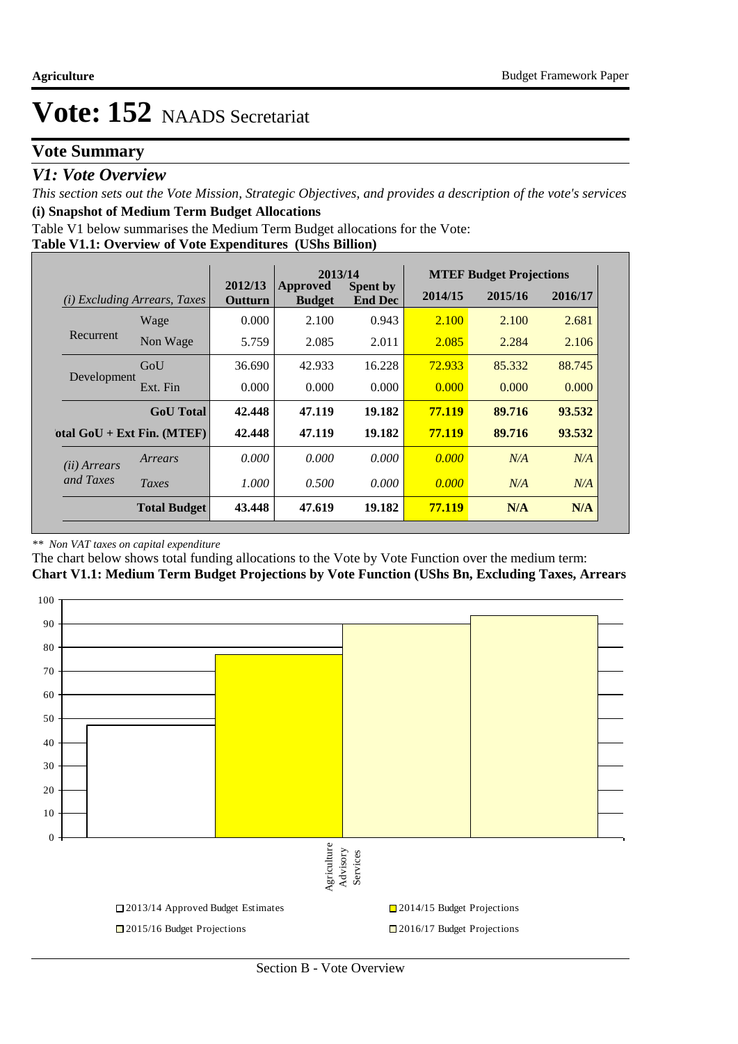### **Vote Summary**

### *V1: Vote Overview*

*This section sets out the Vote Mission, Strategic Objectives, and provides a description of the vote's services* **(i) Snapshot of Medium Term Budget Allocations** 

Table V1 below summarises the Medium Term Budget allocations for the Vote:

#### **Table V1.1: Overview of Vote Expenditures (UShs Billion)**

|                                        |                              | 2013/14            |                           | <b>MTEF Budget Projections</b>    |         |         |         |
|----------------------------------------|------------------------------|--------------------|---------------------------|-----------------------------------|---------|---------|---------|
| <i>Excluding Arrears, Taxes</i><br>(i) |                              | 2012/13<br>Outturn | Approved<br><b>Budget</b> | <b>Spent by</b><br><b>End Dec</b> | 2014/15 | 2015/16 | 2016/17 |
|                                        | Wage                         | 0.000              | 2.100                     | 0.943                             | 2.100   | 2.100   | 2.681   |
| Recurrent                              | Non Wage                     | 5.759              | 2.085                     | 2.011                             | 2.085   | 2.284   | 2.106   |
| Development                            | GoU                          | 36.690             | 42.933                    | 16.228                            | 72.933  | 85.332  | 88.745  |
|                                        | Ext. Fin                     | 0.000              | 0.000                     | 0.000                             | 0.000   | 0.000   | 0.000   |
|                                        | <b>GoU</b> Total             | 42,448             | 47.119                    | 19.182                            | 77.119  | 89.716  | 93.532  |
|                                        | otal $GoU + Ext Fin. (MTEF)$ | 42,448             | 47.119                    | 19.182                            | 77.119  | 89.716  | 93.532  |
| ( <i>ii</i> ) Arrears<br>and Taxes     | Arrears                      | 0.000              | 0.000                     | 0.000                             | 0.000   | N/A     | N/A     |
|                                        | Taxes                        | 1.000              | 0.500                     | 0.000                             | 0.000   | N/A     | N/A     |
|                                        | <b>Total Budget</b>          | 43.448             | 47.619                    | 19.182                            | 77.119  | N/A     | N/A     |

#### *\*\* Non VAT taxes on capital expenditure*

The chart below shows total funding allocations to the Vote by Vote Function over the medium term:

**Chart V1.1: Medium Term Budget Projections by Vote Function (UShs Bn, Excluding Taxes, Arrears**

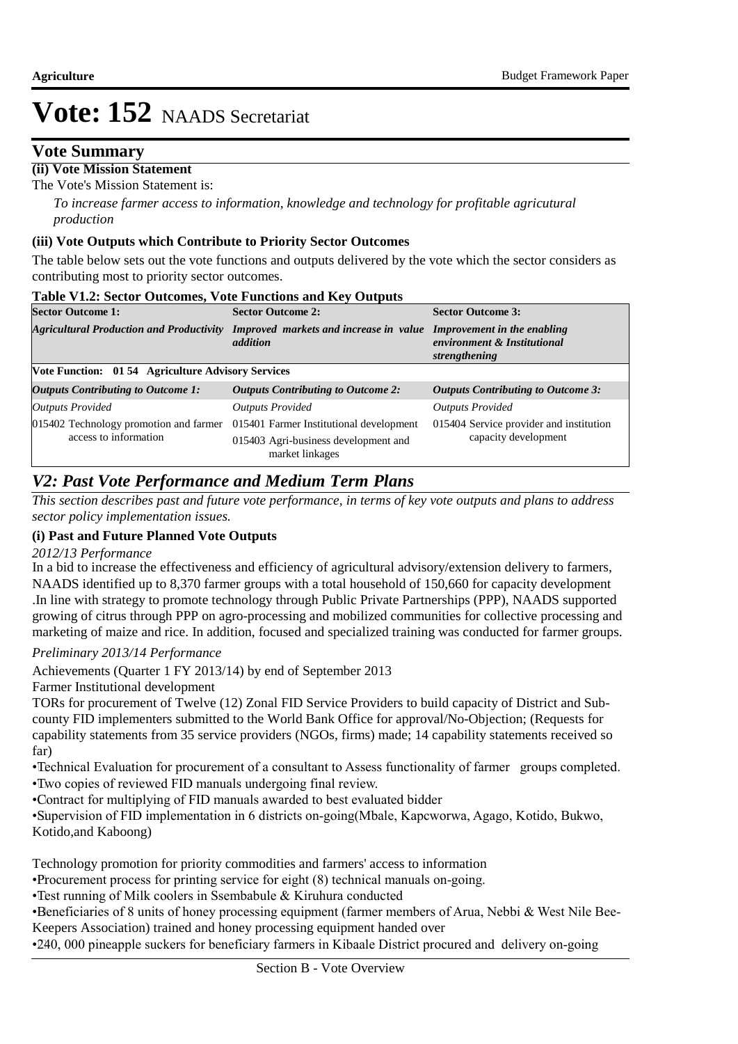### **Vote Summary**

### **(ii) Vote Mission Statement**

The Vote's Mission Statement is:

*To increase farmer access to information, knowledge and technology for profitable agricutural production*

#### **(iii) Vote Outputs which Contribute to Priority Sector Outcomes**

The table below sets out the vote functions and outputs delivered by the vote which the sector considers as contributing most to priority sector outcomes.

| <b>Sector Outcome 1:</b>                                  | <b>Sector Outcome 2:</b>                                | <b>Sector Outcome 3:</b>                                                    |
|-----------------------------------------------------------|---------------------------------------------------------|-----------------------------------------------------------------------------|
| <b>Agricultural Production and Productivity</b>           | Improved markets and increase in value<br>addition      | Improvement in the enabling<br>environment & Institutional<br>strengthening |
| <b>Vote Function: 01 54 Agriculture Advisory Services</b> |                                                         |                                                                             |
| <b>Outputs Contributing to Outcome 1:</b>                 | <b>Outputs Contributing to Outcome 2:</b>               | <b>Outputs Contributing to Outcome 3:</b>                                   |
| <b>Outputs Provided</b>                                   | <b>Outputs Provided</b>                                 | <b>Outputs Provided</b>                                                     |
| 015402 Technology promotion and farmer                    | 015401 Farmer Institutional development                 | 015404 Service provider and institution                                     |
| access to information                                     | 015403 Agri-business development and<br>market linkages | capacity development                                                        |

### *V2: Past Vote Performance and Medium Term Plans*

*This section describes past and future vote performance, in terms of key vote outputs and plans to address sector policy implementation issues.* 

#### **(i) Past and Future Planned Vote Outputs**

#### *2012/13 Performance*

In a bid to increase the effectiveness and efficiency of agricultural advisory/extension delivery to farmers, NAADS identified up to 8,370 farmer groups with a total household of 150,660 for capacity development .In line with strategy to promote technology through Public Private Partnerships (PPP), NAADS supported growing of citrus through PPP on agro-processing and mobilized communities for collective processing and marketing of maize and rice. In addition, focused and specialized training was conducted for farmer groups.

#### *Preliminary 2013/14 Performance*

Achievements (Quarter 1 FY 2013/14) by end of September 2013

#### Farmer Institutional development

TORs for procurement of Twelve (12) Zonal FID Service Providers to build capacity of District and Subcounty FID implementers submitted to the World Bank Office for approval/No-Objection; (Requests for capability statements from 35 service providers (NGOs, firms) made; 14 capability statements received so far)

• Technical Evaluation for procurement of a consultant to Assess functionality of farmer groups completed. • Two copies of reviewed FID manuals undergoing final review.

• Contract for multiplying of FID manuals awarded to best evaluated bidder

• Supervision of FID implementation in 6 districts on-going(Mbale, Kapcworwa, Agago, Kotido, Bukwo, Kotido,and Kaboong)

Technology promotion for priority commodities and farmers' access to information

• Procurement process for printing service for eight (8) technical manuals on-going.

• Test running of Milk coolers in Ssembabule & Kiruhura conducted

•Beneficiaries of 8 units of honey processing equipment (farmer members of Arua, Nebbi & West Nile Bee-Keepers Association) trained and honey processing equipment handed over

• 240, 000 pineapple suckers for beneficiary farmers in Kibaale District procured and delivery on-going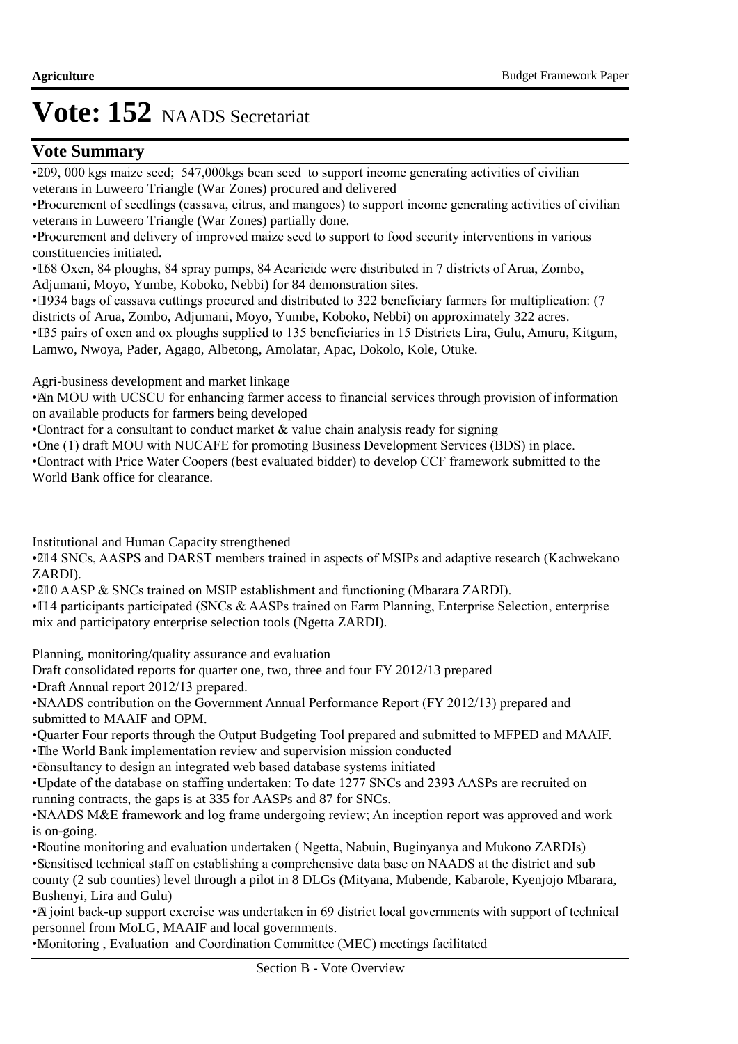### **Vote Summary**

•209, 000 kgs maize seed; 547,000 kgs bean seed to support income generating activities of civilian veterans in Luweero Triangle (War Zones) procured and delivered

• Procurement of seedlings (cassava, citrus, and mangoes) to support income generating activities of civilian veterans in Luweero Triangle (War Zones) partially done.

• Procurement and delivery of improved maize seed to support to food security interventions in various constituencies initiated.

• 168 Oxen, 84 ploughs, 84 spray pumps, 84 Acaricide were distributed in 7 districts of Arua, Zombo, Adjumani, Moyo, Yumbe, Koboko, Nebbi) for 84 demonstration sites.

• 1934 bags of cassava cuttings procured and distributed to 322 beneficiary farmers for multiplication: (7) districts of Arua, Zombo, Adjumani, Moyo, Yumbe, Koboko, Nebbi) on approximately 322 acres.

• IB5 pairs of oxen and ox ploughs supplied to 135 beneficiaries in 15 Districts Lira, Gulu, Amuru, Kitgum, Lamwo, Nwoya, Pader, Agago, Albetong, Amolatar, Apac, Dokolo, Kole, Otuke.

Agri-business development and market linkage

• An MOU with UCSCU for enhancing farmer access to financial services through provision of information on available products for farmers being developed

• Contract for a consultant to conduct market  $\&$  value chain analysis ready for signing

• One (1) draft MOU with NUCAFE for promoting Business Development Services (BDS) in place.

• Contract with Price Water Coopers (best evaluated bidder) to develop CCF framework submitted to the World Bank office for clearance.

Institutional and Human Capacity strengthened

•214 SNCs, AASPS and DARST members trained in aspects of MSIPs and adaptive research (Kachwekano ZARDI).

• 210 AASP & SNCs trained on MSIP establishment and functioning (Mbarara ZARDI).

• 114 participants participated (SNCs & AASPs trained on Farm Planning, Enterprise Selection, enterprise mix and participatory enterprise selection tools (Ngetta ZARDI).

Planning, monitoring/quality assurance and evaluation

Draft consolidated reports for quarter one, two, three and four FY 2012/13 prepared

•Draft Annual report 2012/13 prepared.

• NAADS contribution on the Government Annual Performance Report (FY 2012/13) prepared and submitted to MAAIF and OPM.

• Quarter Four reports through the Output Budgeting Tool prepared and submitted to MFPED and MAAIF. • The World Bank implementation review and supervision mission conducted

• consultancy to design an integrated web based database systems initiated

• Update of the database on staffing undertaken: To date 1277 SNCs and 2393 AASPs are recruited on running contracts, the gaps is at 335 for AASPs and 87 for SNCs.

• NAADS M&E framework and log frame undergoing review; An inception report was approved and work is on-going.

• Routine monitoring and evaluation undertaken ( Ngetta, Nabuin, Buginyanya and Mukono ZARDIs) • Sensitised technical staff on establishing a comprehensive data base on NAADS at the district and sub county (2 sub counties) level through a pilot in 8 DLGs (Mityana, Mubende, Kabarole, Kyenjojo Mbarara, Bushenyi, Lira and Gulu)

• A joint back-up support exercise was undertaken in 69 district local governments with support of technical personnel from MoLG, MAAIF and local governments.

• Monitoring , Evaluation and Coordination Committee (MEC) meetings facilitated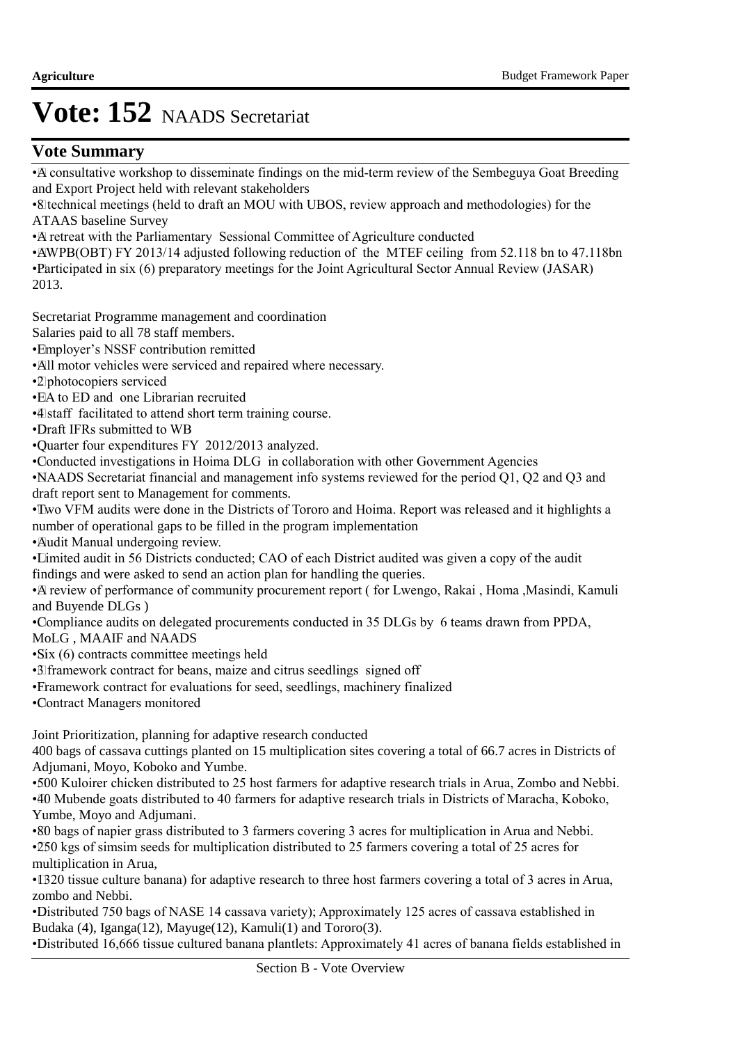### **Vote Summary**

• A consultative workshop to disseminate findings on the mid-term review of the Sembeguya Goat Breeding and Export Project held with relevant stakeholders

• 8 technical meetings (held to draft an MOU with UBOS, review approach and methodologies) for the ATAAS baseline Survey

• A retreat with the Parliamentary Sessional Committee of Agriculture conducted

• AWPB(OBT) FY 2013/14 adjusted following reduction of the MTEF ceiling from 52.118 bn to 47.118 bn • Participated in six (6) preparatory meetings for the Joint Agricultural Sector Annual Review (JASAR) 2013.

Secretariat Programme management and coordination

 Salaries paid to all 78 staff members.

• Employer's NSSF contribution remitted

•All motor vehicles were serviced and repaired where necessary.

• 2 photocopiers serviced

•EA to ED and one Librarian recruited

• 4 staff facilitated to attend short term training course.

• Draft IFRs submitted to WB

• Quarter four expenditures FY 2012/2013 analyzed.

• Conducted investigations in Hoima DLG in collaboration with other Government Agencies

• NAADS Secretariat financial and management info systems reviewed for the period Q1, Q2 and Q3 and draft report sent to Management for comments.

• Two VFM audits were done in the Districts of Tororo and Hoima. Report was released and it highlights a number of operational gaps to be filled in the program implementation

• Audit Manual undergoing review.

• Limited audit in 56 Districts conducted; CAO of each District audited was given a copy of the audit findings and were asked to send an action plan for handling the queries.

• A review of performance of community procurement report ( for Lwengo, Rakai , Homa ,Masindi, Kamuli and Buyende DLGs )

• Compliance audits on delegated procurements conducted in 35 DLGs by 6 teams drawn from PPDA,

MoLG , MAAIF and NAADS

•Six (6) contracts committee meetings held

• 3 framework contract for beans, maize and citrus seedlings signed off

• Framework contract for evaluations for seed, seedlings, machinery finalized

• Contract Managers monitored

Joint Prioritization, planning for adaptive research conducted

400 bags of cassava cuttings planted on 15 multiplication sites covering a total of 66.7 acres in Districts of Adjumani, Moyo, Koboko and Yumbe.

• 500 Kuloirer chicken distributed to 25 host farmers for adaptive research trials in Arua, Zombo and Nebbi. • 40 Mubende goats distributed to 40 farmers for adaptive research trials in Districts of Maracha, Koboko, Yumbe, Moyo and Adjumani.

• 80 bags of napier grass distributed to 3 farmers covering 3 acres for multiplication in Arua and Nebbi. • 250 kgs of simsim seeds for multiplication distributed to 25 farmers covering a total of 25 acres for multiplication in Arua,

• IB20 tissue culture banana) for adaptive research to three host farmers covering a total of 3 acres in Arua, zombo and Nebbi.

• Distributed 750 bags of NASE 14 cassava variety); Approximately 125 acres of cassava established in Budaka (4), Iganga(12), Mayuge(12), Kamuli(1) and Tororo(3).

• Distributed 16,666 tissue cultured banana plantlets: Approximately 41 acres of banana fields established in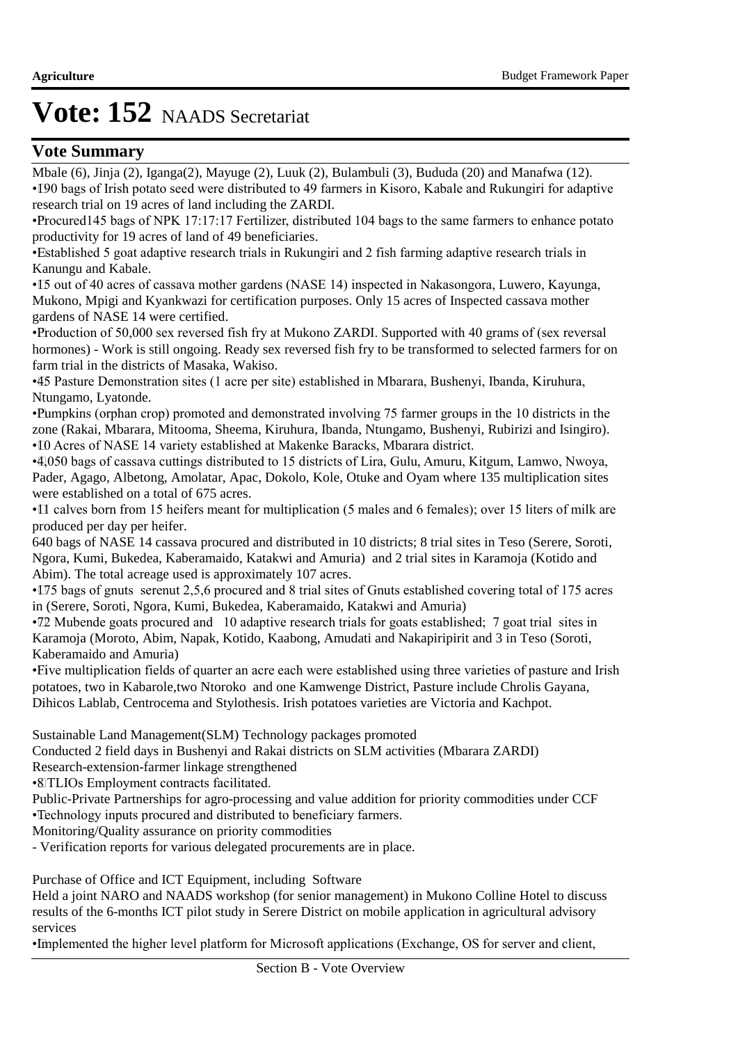### **Vote Summary**

Mbale (6), Jinja (2), Iganga(2), Mayuge (2), Luuk (2), Bulambuli (3), Bududa (20) and Manafwa (12). • 190 bags of Irish potato seed were distributed to 49 farmers in Kisoro, Kabale and Rukungiri for adaptive research trial on 19 acres of land including the ZARDI.

• Procured 145 bags of NPK 17:17:17 Fertilizer, distributed 104 bags to the same farmers to enhance potato productivity for 19 acres of land of 49 beneficiaries.

• Established 5 goat adaptive research trials in Rukungiri and 2 fish farming adaptive research trials in Kanungu and Kabale.

• 15 out of 40 acres of cassava mother gardens (NASE 14) inspected in Nakasongora, Luwero, Kayunga, Mukono, Mpigi and Kyankwazi for certification purposes. Only 15 acres of Inspected cassava mother gardens of NASE 14 were certified.

• Production of 50,000 sex reversed fish fry at Mukono ZARDI. Supported with 40 grams of (sex reversal hormones) - Work is still ongoing. Ready sex reversed fish fry to be transformed to selected farmers for on farm trial in the districts of Masaka, Wakiso.

• 45 Pasture Demonstration sites (1 acre per site) established in Mbarara, Bushenyi, Ibanda, Kiruhura, Ntungamo, Lyatonde.

• Pumpkins (orphan crop) promoted and demonstrated involving 75 farmer groups in the 10 districts in the zone (Rakai, Mbarara, Mitooma, Sheema, Kiruhura, Ibanda, Ntungamo, Bushenyi, Rubirizi and Isingiro). • 10 Acres of NASE 14 variety established at Makenke Baracks, Mbarara district.

• 4,050 bags of cassava cuttings distributed to 15 districts of Lira, Gulu, Amuru, Kitgum, Lamwo, Nwoya, Pader, Agago, Albetong, Amolatar, Apac, Dokolo, Kole, Otuke and Oyam where 135 multiplication sites were established on a total of 675 acres.

• Il calves born from 15 heifers meant for multiplication (5 males and 6 females); over 15 liters of milk are produced per day per heifer.

640 bags of NASE 14 cassava procured and distributed in 10 districts; 8 trial sites in Teso (Serere, Soroti, Ngora, Kumi, Bukedea, Kaberamaido, Katakwi and Amuria) and 2 trial sites in Karamoja (Kotido and Abim). The total acreage used is approximately 107 acres.

• 175 bags of gnuts serenut 2,5,6 procured and 8 trial sites of Gnuts established covering total of 175 acres in (Serere, Soroti, Ngora, Kumi, Bukedea, Kaberamaido, Katakwi and Amuria)

• 72 Mubende goats procured and 10 adaptive research trials for goats established; 7 goat trial sites in Karamoja (Moroto, Abim, Napak, Kotido, Kaabong, Amudati and Nakapiripirit and 3 in Teso (Soroti, Kaberamaido and Amuria)

• Five multiplication fields of quarter an acre each were established using three varieties of pasture and Irish potatoes, two in Kabarole,two Ntoroko and one Kamwenge District, Pasture include Chrolis Gayana, Dihicos Lablab, Centrocema and Stylothesis. Irish potatoes varieties are Victoria and Kachpot.

Sustainable Land Management(SLM) Technology packages promoted

Conducted 2 field days in Bushenyi and Rakai districts on SLM activities (Mbarara ZARDI)

Research-extension-farmer linkage strengthened

• 8 TLIOs Employment contracts facilitated.

Public-Private Partnerships for agro-processing and value addition for priority commodities under CCF

• Technology inputs procured and distributed to beneficiary farmers.

Monitoring/Quality assurance on priority commodities

- Verification reports for various delegated procurements are in place.

Purchase of Office and ICT Equipment, including Software

Held a joint NARO and NAADS workshop (for senior management) in Mukono Colline Hotel to discuss results of the 6-months ICT pilot study in Serere District on mobile application in agricultural advisory services

• Implemented the higher level platform for Microsoft applications (Exchange, OS for server and client,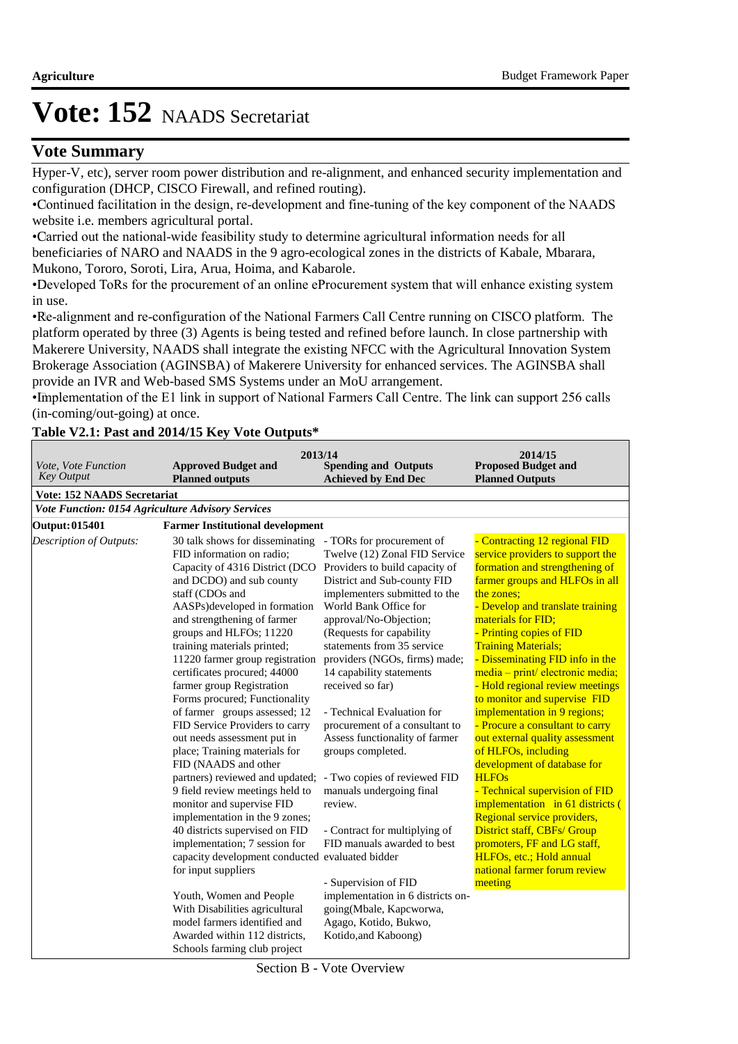### **Vote Summary**

Hyper-V, etc), server room power distribution and re-alignment, and enhanced security implementation and configuration (DHCP, CISCO Firewall, and refined routing).

• Continued facilitation in the design, re-development and fine-tuning of the key component of the NAADS website i.e. members agricultural portal.

• Carried out the national-wide feasibility study to determine agricultural information needs for all beneficiaries of NARO and NAADS in the 9 agro-ecological zones in the districts of Kabale, Mbarara, Mukono, Tororo, Soroti, Lira, Arua, Hoima, and Kabarole.

• Developed ToRs for the procurement of an online eProcurement system that will enhance existing system in use.

• Re-alignment and re-configuration of the National Farmers Call Centre running on CISCO platform. The platform operated by three (3) Agents is being tested and refined before launch. In close partnership with Makerere University, NAADS shall integrate the existing NFCC with the Agricultural Innovation System Brokerage Association (AGINSBA) of Makerere University for enhanced services. The AGINSBA shall provide an IVR and Web-based SMS Systems under an MoU arrangement.

• Implementation of the E1 link in support of National Farmers Call Centre. The link can support 256 calls (in-coming/out-going) at once.

### **Table V2.1: Past and 2014/15 Key Vote Outputs\***

| Vote, Vote Function<br><b>Key Output</b>          | 2013/14<br><b>Approved Budget and</b><br><b>Planned outputs</b>                                                                                                                                                                                                                                                                                                                                                                                                                                                                                                                                                                                                                                                                                                                                                                                                                                                                                                                                                    | <b>Spending and Outputs</b><br><b>Achieved by End Dec</b>                                                                                                                                                                                                                                                                                                                                                                                                                                                                                                                                                                                                                                                                                                         | 2014/15<br><b>Proposed Budget and</b><br><b>Planned Outputs</b>                                                                                                                                                                                                                                                                                                                                                                                                                                                                                                                                                                                                                                                                                                                                                                         |
|---------------------------------------------------|--------------------------------------------------------------------------------------------------------------------------------------------------------------------------------------------------------------------------------------------------------------------------------------------------------------------------------------------------------------------------------------------------------------------------------------------------------------------------------------------------------------------------------------------------------------------------------------------------------------------------------------------------------------------------------------------------------------------------------------------------------------------------------------------------------------------------------------------------------------------------------------------------------------------------------------------------------------------------------------------------------------------|-------------------------------------------------------------------------------------------------------------------------------------------------------------------------------------------------------------------------------------------------------------------------------------------------------------------------------------------------------------------------------------------------------------------------------------------------------------------------------------------------------------------------------------------------------------------------------------------------------------------------------------------------------------------------------------------------------------------------------------------------------------------|-----------------------------------------------------------------------------------------------------------------------------------------------------------------------------------------------------------------------------------------------------------------------------------------------------------------------------------------------------------------------------------------------------------------------------------------------------------------------------------------------------------------------------------------------------------------------------------------------------------------------------------------------------------------------------------------------------------------------------------------------------------------------------------------------------------------------------------------|
| <b>Vote: 152 NAADS Secretariat</b>                |                                                                                                                                                                                                                                                                                                                                                                                                                                                                                                                                                                                                                                                                                                                                                                                                                                                                                                                                                                                                                    |                                                                                                                                                                                                                                                                                                                                                                                                                                                                                                                                                                                                                                                                                                                                                                   |                                                                                                                                                                                                                                                                                                                                                                                                                                                                                                                                                                                                                                                                                                                                                                                                                                         |
| Vote Function: 0154 Agriculture Advisory Services |                                                                                                                                                                                                                                                                                                                                                                                                                                                                                                                                                                                                                                                                                                                                                                                                                                                                                                                                                                                                                    |                                                                                                                                                                                                                                                                                                                                                                                                                                                                                                                                                                                                                                                                                                                                                                   |                                                                                                                                                                                                                                                                                                                                                                                                                                                                                                                                                                                                                                                                                                                                                                                                                                         |
| <b>Output: 015401</b>                             | <b>Farmer Institutional development</b>                                                                                                                                                                                                                                                                                                                                                                                                                                                                                                                                                                                                                                                                                                                                                                                                                                                                                                                                                                            |                                                                                                                                                                                                                                                                                                                                                                                                                                                                                                                                                                                                                                                                                                                                                                   |                                                                                                                                                                                                                                                                                                                                                                                                                                                                                                                                                                                                                                                                                                                                                                                                                                         |
| Description of Outputs:                           | 30 talk shows for disseminating<br>FID information on radio;<br>Capacity of 4316 District (DCO<br>and DCDO) and sub county<br>staff (CDOs and<br>AASPs)developed in formation<br>and strengthening of farmer<br>groups and HLFOs; 11220<br>training materials printed;<br>11220 farmer group registration<br>certificates procured; 44000<br>farmer group Registration<br>Forms procured; Functionality<br>of farmer groups assessed; 12<br>FID Service Providers to carry<br>out needs assessment put in<br>place; Training materials for<br>FID (NAADS and other<br>partners) reviewed and updated;<br>9 field review meetings held to<br>monitor and supervise FID<br>implementation in the 9 zones;<br>40 districts supervised on FID<br>implementation; 7 session for<br>capacity development conducted evaluated bidder<br>for input suppliers<br>Youth, Women and People<br>With Disabilities agricultural<br>model farmers identified and<br>Awarded within 112 districts,<br>Schools farming club project | - TORs for procurement of<br>Twelve (12) Zonal FID Service<br>Providers to build capacity of<br>District and Sub-county FID<br>implementers submitted to the<br>World Bank Office for<br>approval/No-Objection;<br>(Requests for capability<br>statements from 35 service<br>providers (NGOs, firms) made;<br>14 capability statements<br>received so far)<br>- Technical Evaluation for<br>procurement of a consultant to<br>Assess functionality of farmer<br>groups completed.<br>- Two copies of reviewed FID<br>manuals undergoing final<br>review.<br>- Contract for multiplying of<br>FID manuals awarded to best<br>- Supervision of FID<br>implementation in 6 districts on-<br>going(Mbale, Kapcworwa,<br>Agago, Kotido, Bukwo,<br>Kotido, and Kaboong) | - Contracting 12 regional FID<br>service providers to support the<br>formation and strengthening of<br>farmer groups and HLFOs in all<br>the zones:<br>- Develop and translate training<br>materials for FID;<br>- Printing copies of FID<br><b>Training Materials;</b><br>- Disseminating FID info in the<br>media – print/ electronic media;<br>- Hold regional review meetings<br>to monitor and supervise FID<br>implementation in 9 regions;<br>- Procure a consultant to carry<br>out external quality assessment<br>of HLFOs, including<br>development of database for<br><b>HLFOs</b><br>- Technical supervision of FID<br>implementation in 61 districts (<br>Regional service providers,<br>District staff, CBFs/ Group<br>promoters, FF and LG staff,<br>HLFOs, etc.; Hold annual<br>national farmer forum review<br>meeting |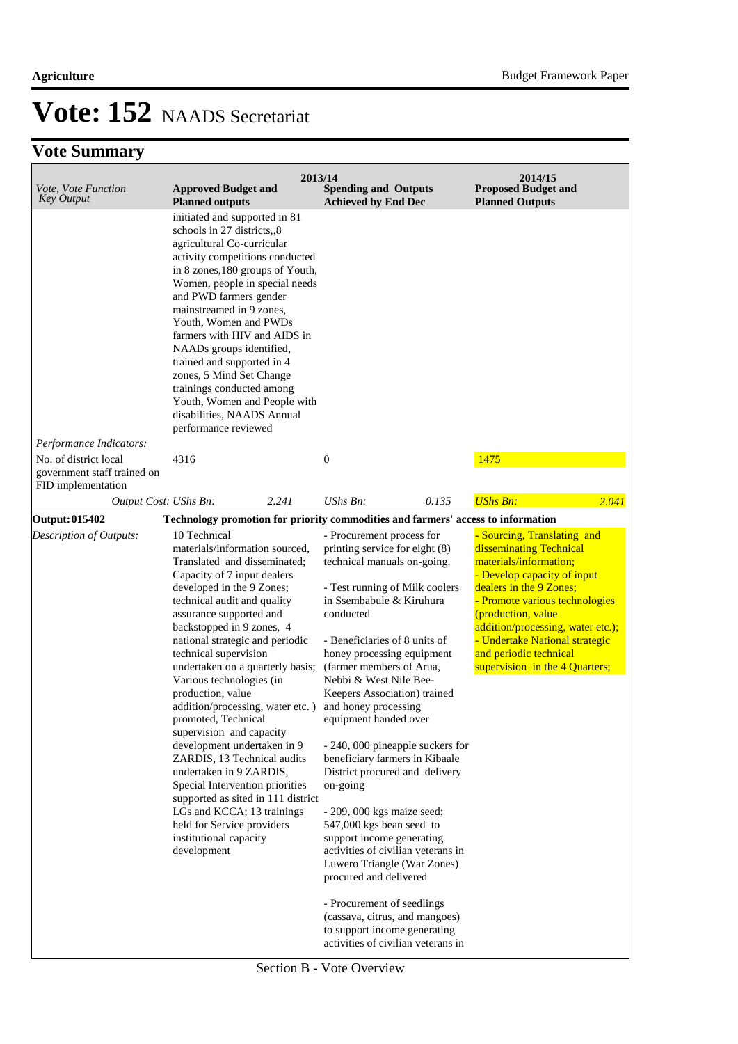| Vote, Vote Function<br><b>Key Output</b>                                   | <b>Approved Budget and</b><br><b>Planned outputs</b>                                                                                                                                                                                                                                                                                                                                                                                                                                                                                                                                                                                                                                                                                                                                                                                 | 2013/14<br><b>Spending and Outputs</b><br><b>Achieved by End Dec</b>                                                                                                                                                                                                                                                                                                                                                                                                                                                                                                                                                                                                                                                                                                                                                        |       | 2014/15<br><b>Proposed Budget and</b><br><b>Planned Outputs</b>                                                                                                                                                                                                                                                                       |       |
|----------------------------------------------------------------------------|--------------------------------------------------------------------------------------------------------------------------------------------------------------------------------------------------------------------------------------------------------------------------------------------------------------------------------------------------------------------------------------------------------------------------------------------------------------------------------------------------------------------------------------------------------------------------------------------------------------------------------------------------------------------------------------------------------------------------------------------------------------------------------------------------------------------------------------|-----------------------------------------------------------------------------------------------------------------------------------------------------------------------------------------------------------------------------------------------------------------------------------------------------------------------------------------------------------------------------------------------------------------------------------------------------------------------------------------------------------------------------------------------------------------------------------------------------------------------------------------------------------------------------------------------------------------------------------------------------------------------------------------------------------------------------|-------|---------------------------------------------------------------------------------------------------------------------------------------------------------------------------------------------------------------------------------------------------------------------------------------------------------------------------------------|-------|
| Performance Indicators:                                                    | initiated and supported in 81<br>schools in 27 districts,,8<br>agricultural Co-curricular<br>activity competitions conducted<br>in 8 zones, 180 groups of Youth,<br>Women, people in special needs<br>and PWD farmers gender<br>mainstreamed in 9 zones,<br>Youth, Women and PWDs<br>farmers with HIV and AIDS in<br>NAADs groups identified,<br>trained and supported in 4<br>zones, 5 Mind Set Change<br>trainings conducted among<br>Youth, Women and People with<br>disabilities, NAADS Annual<br>performance reviewed                                                                                                                                                                                                                                                                                                           |                                                                                                                                                                                                                                                                                                                                                                                                                                                                                                                                                                                                                                                                                                                                                                                                                             |       |                                                                                                                                                                                                                                                                                                                                       |       |
| No. of district local<br>government staff trained on<br>FID implementation | 4316                                                                                                                                                                                                                                                                                                                                                                                                                                                                                                                                                                                                                                                                                                                                                                                                                                 | $\boldsymbol{0}$                                                                                                                                                                                                                                                                                                                                                                                                                                                                                                                                                                                                                                                                                                                                                                                                            |       | 1475                                                                                                                                                                                                                                                                                                                                  |       |
| Output Cost: UShs Bn:                                                      | 2.241                                                                                                                                                                                                                                                                                                                                                                                                                                                                                                                                                                                                                                                                                                                                                                                                                                | $UShs Bn$ :                                                                                                                                                                                                                                                                                                                                                                                                                                                                                                                                                                                                                                                                                                                                                                                                                 | 0.135 | <b>UShs Bn:</b>                                                                                                                                                                                                                                                                                                                       | 2.041 |
| Output: 015402<br>Description of Outputs:                                  | Technology promotion for priority commodities and farmers' access to information<br>10 Technical<br>materials/information sourced,<br>Translated and disseminated;<br>Capacity of 7 input dealers<br>developed in the 9 Zones;<br>technical audit and quality<br>assurance supported and<br>backstopped in 9 zones, 4<br>national strategic and periodic<br>technical supervision<br>undertaken on a quarterly basis;<br>Various technologies (in<br>production, value<br>addition/processing, water etc.)<br>promoted, Technical<br>supervision and capacity<br>development undertaken in 9<br>ZARDIS, 13 Technical audits<br>undertaken in 9 ZARDIS,<br>Special Intervention priorities<br>supported as sited in 111 district<br>LGs and KCCA; 13 trainings<br>held for Service providers<br>institutional capacity<br>development | - Procurement process for<br>printing service for eight (8)<br>technical manuals on-going.<br>- Test running of Milk coolers<br>in Ssembabule & Kiruhura<br>conducted<br>- Beneficiaries of 8 units of<br>honey processing equipment<br>(farmer members of Arua,<br>Nebbi & West Nile Bee-<br>Keepers Association) trained<br>and honey processing<br>equipment handed over<br>- 240, 000 pineapple suckers for<br>beneficiary farmers in Kibaale<br>District procured and delivery<br>on-going<br>$-209,000$ kgs maize seed;<br>547,000 kgs bean seed to<br>support income generating<br>activities of civilian veterans in<br>Luwero Triangle (War Zones)<br>procured and delivered<br>- Procurement of seedlings<br>(cassava, citrus, and mangoes)<br>to support income generating<br>activities of civilian veterans in |       | - Sourcing, Translating and<br>disseminating Technical<br>materials/information;<br>- Develop capacity of input<br>dealers in the 9 Zones;<br>- Promote various technologies<br>(production, value<br>addition/processing, water etc.);<br>- Undertake National strategic<br>and periodic technical<br>supervision in the 4 Quarters; |       |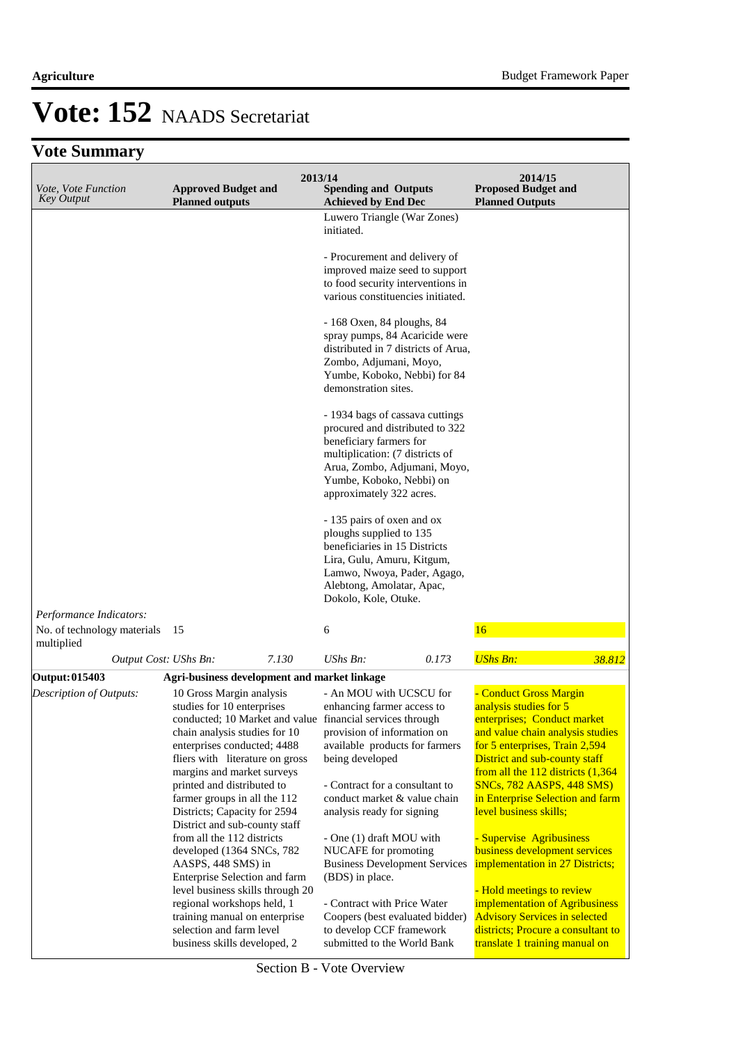| Vote, Vote Function<br><b>Key Output</b>  | <b>Approved Budget and</b><br><b>Planned outputs</b>                                                                                                                                                                                                                                                                                                                                                                                                                                                                                                       | 2013/14<br><b>Spending and Outputs</b><br><b>Achieved by End Dec</b>                                                                                                                                                                                                                                                                                                                                                                                 | 2014/15<br><b>Proposed Budget and</b><br><b>Planned Outputs</b>                                                                                                                                                                                                                                                                                                                                                                                                                            |
|-------------------------------------------|------------------------------------------------------------------------------------------------------------------------------------------------------------------------------------------------------------------------------------------------------------------------------------------------------------------------------------------------------------------------------------------------------------------------------------------------------------------------------------------------------------------------------------------------------------|------------------------------------------------------------------------------------------------------------------------------------------------------------------------------------------------------------------------------------------------------------------------------------------------------------------------------------------------------------------------------------------------------------------------------------------------------|--------------------------------------------------------------------------------------------------------------------------------------------------------------------------------------------------------------------------------------------------------------------------------------------------------------------------------------------------------------------------------------------------------------------------------------------------------------------------------------------|
|                                           |                                                                                                                                                                                                                                                                                                                                                                                                                                                                                                                                                            | Luwero Triangle (War Zones)<br>initiated.                                                                                                                                                                                                                                                                                                                                                                                                            |                                                                                                                                                                                                                                                                                                                                                                                                                                                                                            |
|                                           |                                                                                                                                                                                                                                                                                                                                                                                                                                                                                                                                                            | - Procurement and delivery of<br>improved maize seed to support<br>to food security interventions in<br>various constituencies initiated.                                                                                                                                                                                                                                                                                                            |                                                                                                                                                                                                                                                                                                                                                                                                                                                                                            |
|                                           |                                                                                                                                                                                                                                                                                                                                                                                                                                                                                                                                                            | - 168 Oxen, 84 ploughs, 84<br>spray pumps, 84 Acaricide were<br>distributed in 7 districts of Arua,<br>Zombo, Adjumani, Moyo,<br>Yumbe, Koboko, Nebbi) for 84<br>demonstration sites.                                                                                                                                                                                                                                                                |                                                                                                                                                                                                                                                                                                                                                                                                                                                                                            |
|                                           |                                                                                                                                                                                                                                                                                                                                                                                                                                                                                                                                                            | - 1934 bags of cassava cuttings<br>procured and distributed to 322<br>beneficiary farmers for<br>multiplication: (7 districts of<br>Arua, Zombo, Adjumani, Moyo,<br>Yumbe, Koboko, Nebbi) on<br>approximately 322 acres.                                                                                                                                                                                                                             |                                                                                                                                                                                                                                                                                                                                                                                                                                                                                            |
|                                           |                                                                                                                                                                                                                                                                                                                                                                                                                                                                                                                                                            | - 135 pairs of oxen and ox<br>ploughs supplied to 135<br>beneficiaries in 15 Districts<br>Lira, Gulu, Amuru, Kitgum,<br>Lamwo, Nwoya, Pader, Agago,<br>Alebtong, Amolatar, Apac,<br>Dokolo, Kole, Otuke.                                                                                                                                                                                                                                             |                                                                                                                                                                                                                                                                                                                                                                                                                                                                                            |
| Performance Indicators:                   |                                                                                                                                                                                                                                                                                                                                                                                                                                                                                                                                                            |                                                                                                                                                                                                                                                                                                                                                                                                                                                      | 16                                                                                                                                                                                                                                                                                                                                                                                                                                                                                         |
| No. of technology materials<br>multiplied | 15                                                                                                                                                                                                                                                                                                                                                                                                                                                                                                                                                         | 6                                                                                                                                                                                                                                                                                                                                                                                                                                                    |                                                                                                                                                                                                                                                                                                                                                                                                                                                                                            |
| Output Cost: UShs Bn:                     | 7.130                                                                                                                                                                                                                                                                                                                                                                                                                                                                                                                                                      | UShs Bn:<br>0.173                                                                                                                                                                                                                                                                                                                                                                                                                                    | <b>UShs Bn:</b><br>38.812                                                                                                                                                                                                                                                                                                                                                                                                                                                                  |
| Output: 015403<br>Description of Outputs: | Agri-business development and market linkage<br>10 Gross Margin analysis<br>studies for 10 enterprises<br>chain analysis studies for 10<br>enterprises conducted; 4488<br>fliers with literature on gross<br>margins and market surveys<br>printed and distributed to<br>farmer groups in all the 112<br>Districts; Capacity for 2594<br>District and sub-county staff<br>from all the 112 districts<br>developed (1364 SNCs, 782<br>AASPS, 448 SMS) in<br>Enterprise Selection and farm<br>level business skills through 20<br>regional workshops held, 1 | - An MOU with UCSCU for<br>enhancing farmer access to<br>conducted; 10 Market and value financial services through<br>provision of information on<br>available products for farmers<br>being developed<br>- Contract for a consultant to<br>conduct market & value chain<br>analysis ready for signing<br>- One (1) draft MOU with<br>NUCAFE for promoting<br><b>Business Development Services</b><br>(BDS) in place.<br>- Contract with Price Water | - Conduct Gross Margin<br>analysis studies for 5<br>enterprises; Conduct market<br>and value chain analysis studies<br>for 5 enterprises, Train 2,594<br>District and sub-county staff<br>from all the $112$ districts $(1,364)$<br>SNCs, 782 AASPS, 448 SMS)<br>in Enterprise Selection and farm<br>level business skills;<br>- Supervise Agribusiness<br>business development services<br>implementation in 27 Districts;<br>- Hold meetings to review<br>implementation of Agribusiness |
|                                           | training manual on enterprise<br>selection and farm level<br>business skills developed, 2                                                                                                                                                                                                                                                                                                                                                                                                                                                                  | Coopers (best evaluated bidder)<br>to develop CCF framework<br>submitted to the World Bank                                                                                                                                                                                                                                                                                                                                                           | <b>Advisory Services in selected</b><br>districts; Procure a consultant to<br>translate 1 training manual on                                                                                                                                                                                                                                                                                                                                                                               |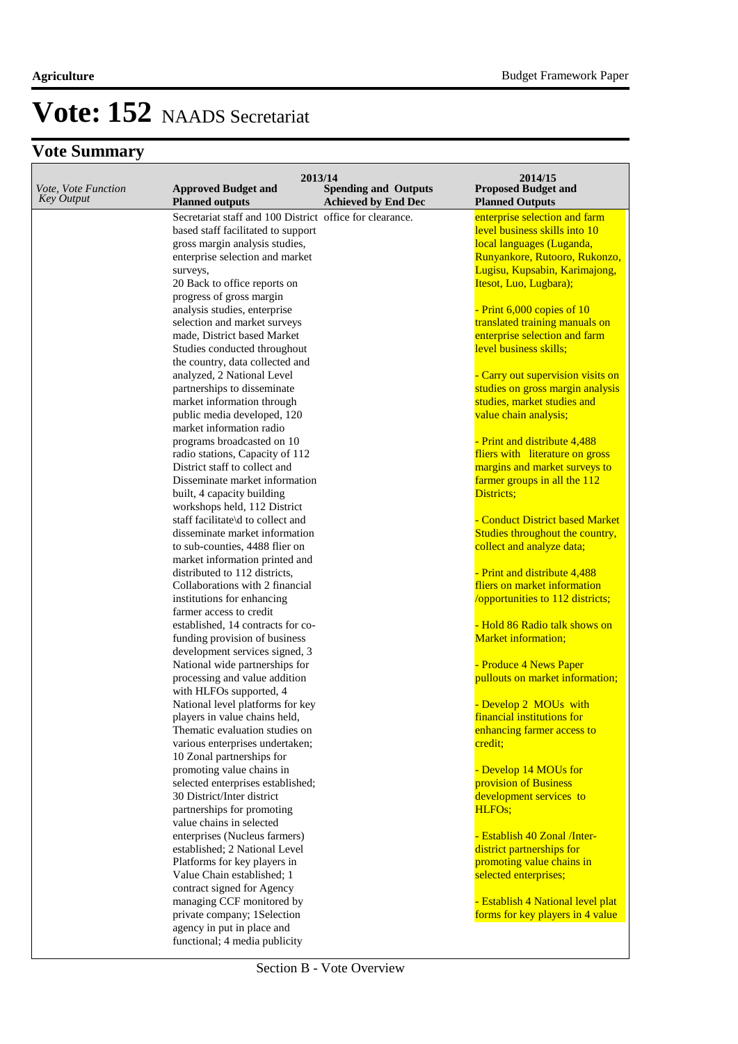| Vote, Vote Function<br><b>Key Output</b> | 2013/14<br><b>Approved Budget and</b><br><b>Planned outputs</b> | <b>Spending and Outputs</b><br><b>Achieved by End Dec</b> | 2014/15<br><b>Proposed Budget and</b><br><b>Planned Outputs</b> |
|------------------------------------------|-----------------------------------------------------------------|-----------------------------------------------------------|-----------------------------------------------------------------|
|                                          | Secretariat staff and 100 District office for clearance.        |                                                           | enterprise selection and farm                                   |
|                                          | based staff facilitated to support                              |                                                           | level business skills into 10                                   |
|                                          | gross margin analysis studies,                                  |                                                           | local languages (Luganda,                                       |
|                                          | enterprise selection and market                                 |                                                           | Runyankore, Rutooro, Rukonzo,                                   |
|                                          | surveys,                                                        |                                                           | Lugisu, Kupsabin, Karimajong,                                   |
|                                          | 20 Back to office reports on                                    |                                                           | Itesot, Luo, Lugbara);                                          |
|                                          | progress of gross margin                                        |                                                           |                                                                 |
|                                          | analysis studies, enterprise                                    |                                                           | - Print 6,000 copies of 10                                      |
|                                          | selection and market surveys                                    |                                                           | translated training manuals on                                  |
|                                          | made, District based Market                                     |                                                           | enterprise selection and farm                                   |
|                                          | Studies conducted throughout                                    |                                                           | level business skills;                                          |
|                                          | the country, data collected and                                 |                                                           |                                                                 |
|                                          | analyzed, 2 National Level                                      |                                                           | - Carry out supervision visits on                               |
|                                          | partnerships to disseminate                                     |                                                           | studies on gross margin analysis                                |
|                                          | market information through                                      |                                                           | studies, market studies and                                     |
|                                          | public media developed, 120                                     |                                                           | value chain analysis;                                           |
|                                          | market information radio                                        |                                                           |                                                                 |
|                                          | programs broadcasted on 10                                      |                                                           | - Print and distribute 4,488                                    |
|                                          | radio stations, Capacity of 112                                 |                                                           | fliers with literature on gross                                 |
|                                          | District staff to collect and                                   |                                                           | margins and market surveys to                                   |
|                                          | Disseminate market information                                  |                                                           | farmer groups in all the 112                                    |
|                                          |                                                                 |                                                           | Districts;                                                      |
|                                          | built, 4 capacity building                                      |                                                           |                                                                 |
|                                          | workshops held, 112 District                                    |                                                           |                                                                 |
|                                          | staff facilitate\d to collect and                               |                                                           | - Conduct District based Market                                 |
|                                          | disseminate market information                                  |                                                           | Studies throughout the country,                                 |
|                                          | to sub-counties, 4488 flier on                                  |                                                           | collect and analyze data;                                       |
|                                          | market information printed and                                  |                                                           |                                                                 |
|                                          | distributed to 112 districts,                                   |                                                           | - Print and distribute 4,488                                    |
|                                          | Collaborations with 2 financial                                 |                                                           | fliers on market information                                    |
|                                          | institutions for enhancing                                      |                                                           | /opportunities to 112 districts;                                |
|                                          | farmer access to credit                                         |                                                           |                                                                 |
|                                          | established, 14 contracts for co-                               |                                                           | - Hold 86 Radio talk shows on                                   |
|                                          | funding provision of business                                   |                                                           | <b>Market information;</b>                                      |
|                                          | development services signed, 3                                  |                                                           |                                                                 |
|                                          | National wide partnerships for                                  |                                                           | - Produce 4 News Paper                                          |
|                                          | processing and value addition                                   |                                                           | pullouts on market information;                                 |
|                                          | with HLFOs supported, 4                                         |                                                           |                                                                 |
|                                          | National level platforms for key                                |                                                           | - Develop 2 MOUs with                                           |
|                                          | players in value chains held,                                   |                                                           | financial institutions for                                      |
|                                          | Thematic evaluation studies on                                  |                                                           | enhancing farmer access to                                      |
|                                          | various enterprises undertaken;                                 |                                                           | credit;                                                         |
|                                          | 10 Zonal partnerships for                                       |                                                           |                                                                 |
|                                          | promoting value chains in                                       |                                                           | - Develop 14 MOUs for                                           |
|                                          | selected enterprises established;                               |                                                           | provision of Business                                           |
|                                          | 30 District/Inter district                                      |                                                           | development services to                                         |
|                                          | partnerships for promoting                                      |                                                           | HLFO <sub>s</sub> ;                                             |
|                                          | value chains in selected                                        |                                                           |                                                                 |
|                                          | enterprises (Nucleus farmers)                                   |                                                           | - Establish 40 Zonal /Inter-                                    |
|                                          | established; 2 National Level                                   |                                                           | district partnerships for                                       |
|                                          | Platforms for key players in                                    |                                                           | promoting value chains in                                       |
|                                          | Value Chain established; 1                                      |                                                           | selected enterprises;                                           |
|                                          | contract signed for Agency                                      |                                                           |                                                                 |
|                                          | managing CCF monitored by                                       |                                                           | - Establish 4 National level plat                               |
|                                          | private company; 1Selection                                     |                                                           | forms for key players in 4 value                                |
|                                          | agency in put in place and                                      |                                                           |                                                                 |
|                                          | functional; 4 media publicity                                   |                                                           |                                                                 |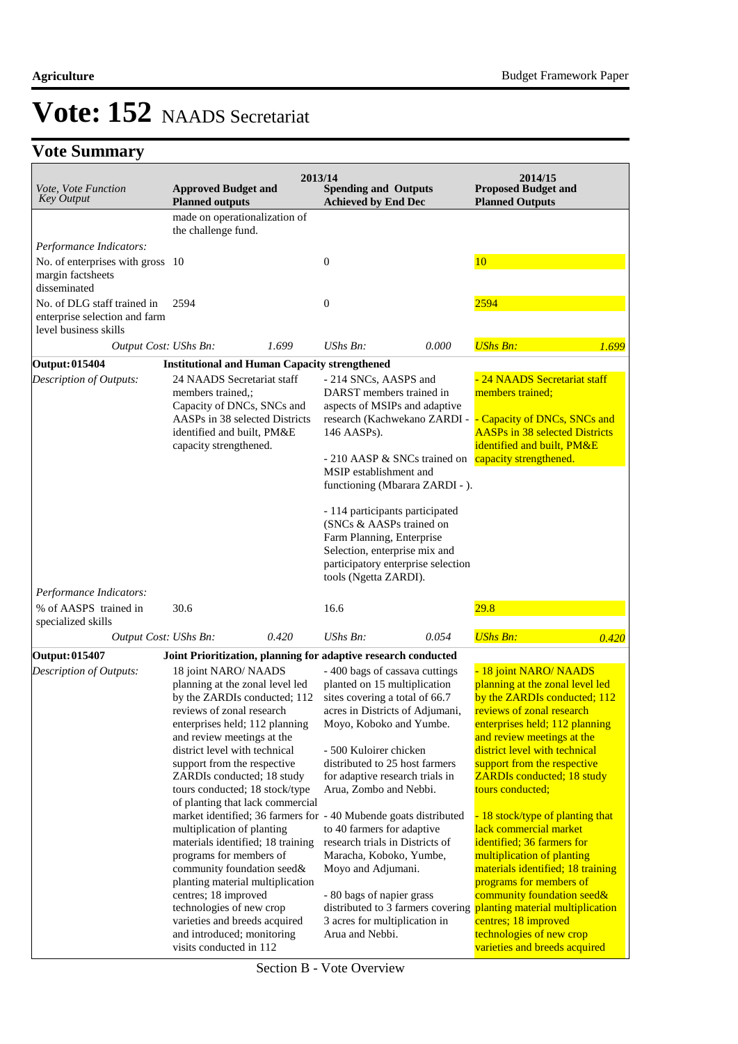| <i>Vote, Vote Function</i><br><b>Key Output</b>                                       | <b>Approved Budget and</b><br><b>Planned outputs</b>                                                                 |       | 2013/14<br><b>Spending and Outputs</b><br><b>Achieved by End Dec</b>                                                                |       | 2014/15<br><b>Proposed Budget and</b><br><b>Planned Outputs</b>                                                        |       |
|---------------------------------------------------------------------------------------|----------------------------------------------------------------------------------------------------------------------|-------|-------------------------------------------------------------------------------------------------------------------------------------|-------|------------------------------------------------------------------------------------------------------------------------|-------|
|                                                                                       | made on operationalization of                                                                                        |       |                                                                                                                                     |       |                                                                                                                        |       |
|                                                                                       | the challenge fund.                                                                                                  |       |                                                                                                                                     |       |                                                                                                                        |       |
| Performance Indicators:                                                               |                                                                                                                      |       |                                                                                                                                     |       |                                                                                                                        |       |
| No. of enterprises with gross 10<br>margin factsheets<br>disseminated                 |                                                                                                                      |       | $\boldsymbol{0}$                                                                                                                    |       | 10                                                                                                                     |       |
| No. of DLG staff trained in<br>enterprise selection and farm<br>level business skills | 2594                                                                                                                 |       | $\boldsymbol{0}$                                                                                                                    |       | 2594                                                                                                                   |       |
| Output Cost: UShs Bn:                                                                 |                                                                                                                      | 1.699 | $UShs Bn$ :                                                                                                                         | 0.000 | <b>UShs Bn:</b>                                                                                                        | 1.699 |
| <b>Output: 015404</b>                                                                 | <b>Institutional and Human Capacity strengthened</b>                                                                 |       |                                                                                                                                     |       |                                                                                                                        |       |
| Description of Outputs:                                                               | 24 NAADS Secretariat staff<br>members trained,;<br>Capacity of DNCs, SNCs and                                        |       | - 214 SNCs, AASPS and<br>DARST members trained in<br>aspects of MSIPs and adaptive                                                  |       | 24 NAADS Secretariat staff<br>members trained;                                                                         |       |
|                                                                                       | AASPs in 38 selected Districts<br>identified and built, PM&E                                                         |       | research (Kachwekano ZARDI -<br>146 AASPs).                                                                                         |       | Capacity of DNCs, SNCs and<br><b>AASPs in 38 selected Districts</b>                                                    |       |
|                                                                                       | capacity strengthened.                                                                                               |       |                                                                                                                                     |       | identified and built, PM&E<br>- 210 AASP & SNCs trained on capacity strengthened.                                      |       |
|                                                                                       |                                                                                                                      |       | MSIP establishment and<br>functioning (Mbarara ZARDI - ).                                                                           |       |                                                                                                                        |       |
|                                                                                       |                                                                                                                      |       | - 114 participants participated<br>(SNCs & AASPs trained on                                                                         |       |                                                                                                                        |       |
|                                                                                       |                                                                                                                      |       | Farm Planning, Enterprise                                                                                                           |       |                                                                                                                        |       |
|                                                                                       |                                                                                                                      |       | Selection, enterprise mix and<br>participatory enterprise selection<br>tools (Ngetta ZARDI).                                        |       |                                                                                                                        |       |
| Performance Indicators:                                                               |                                                                                                                      |       |                                                                                                                                     |       |                                                                                                                        |       |
| % of AASPS trained in<br>specialized skills                                           | 30.6                                                                                                                 |       | 16.6                                                                                                                                |       | 29.8                                                                                                                   |       |
| Output Cost: UShs Bn:                                                                 |                                                                                                                      | 0.420 | $UShs Bn$ :                                                                                                                         | 0.054 | <b>UShs Bn:</b>                                                                                                        | 0.420 |
| Output: 015407                                                                        |                                                                                                                      |       | Joint Prioritization, planning for adaptive research conducted                                                                      |       |                                                                                                                        |       |
| <b>Description of Outputs:</b>                                                        | 18 joint NARO/ NAADS<br>planning at the zonal level led<br>by the ZARDIs conducted; 112<br>reviews of zonal research |       | - 400 bags of cassava cuttings<br>planted on 15 multiplication<br>sites covering a total of 66.7<br>acres in Districts of Adjumani, |       | - 18 joint NARO/ NAADS<br>planning at the zonal level led<br>by the ZARDIs conducted; 112<br>reviews of zonal research |       |
|                                                                                       | enterprises held; 112 planning<br>and review meetings at the                                                         |       | Moyo, Koboko and Yumbe.                                                                                                             |       | enterprises held; 112 planning<br>and review meetings at the                                                           |       |
|                                                                                       | district level with technical<br>support from the respective                                                         |       | - 500 Kuloirer chicken<br>distributed to 25 host farmers                                                                            |       | district level with technical<br>support from the respective                                                           |       |
|                                                                                       | ZARDIs conducted; 18 study                                                                                           |       | for adaptive research trials in                                                                                                     |       | <b>ZARDIs conducted; 18 study</b>                                                                                      |       |
|                                                                                       | tours conducted; 18 stock/type                                                                                       |       | Arua, Zombo and Nebbi.                                                                                                              |       | tours conducted;                                                                                                       |       |
|                                                                                       | of planting that lack commercial                                                                                     |       | market identified; 36 farmers for - 40 Mubende goats distributed                                                                    |       | - 18 stock/type of planting that                                                                                       |       |
|                                                                                       | multiplication of planting                                                                                           |       | to 40 farmers for adaptive                                                                                                          |       | lack commercial market                                                                                                 |       |
|                                                                                       | materials identified; 18 training                                                                                    |       | research trials in Districts of                                                                                                     |       | identified; 36 farmers for                                                                                             |       |
|                                                                                       | programs for members of<br>community foundation seed&                                                                |       | Maracha, Koboko, Yumbe,<br>Moyo and Adjumani.                                                                                       |       | multiplication of planting<br>materials identified; 18 training                                                        |       |
|                                                                                       | planting material multiplication                                                                                     |       |                                                                                                                                     |       | programs for members of                                                                                                |       |
|                                                                                       | centres; 18 improved                                                                                                 |       | - 80 bags of napier grass                                                                                                           |       | community foundation seed&                                                                                             |       |
|                                                                                       | technologies of new crop                                                                                             |       | distributed to 3 farmers covering                                                                                                   |       | planting material multiplication                                                                                       |       |
|                                                                                       | varieties and breeds acquired<br>and introduced; monitoring                                                          |       | 3 acres for multiplication in<br>Arua and Nebbi.                                                                                    |       | centres; 18 improved<br>technologies of new crop                                                                       |       |
|                                                                                       | visits conducted in 112                                                                                              |       |                                                                                                                                     |       | varieties and breeds acquired                                                                                          |       |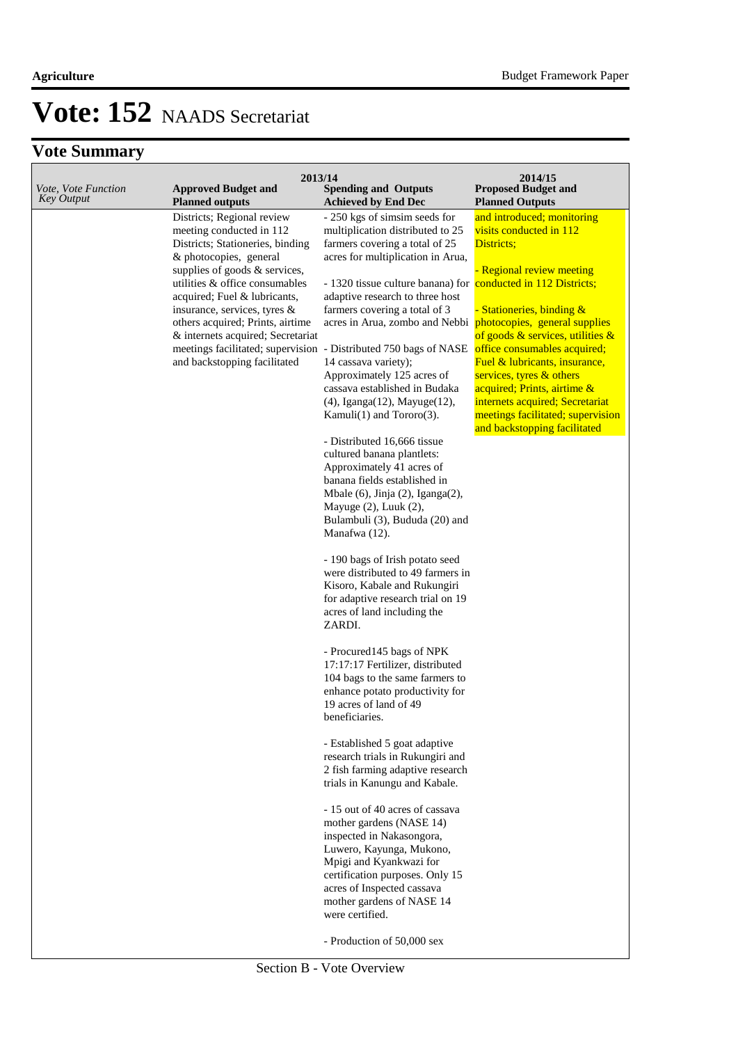| Vote, Vote Function<br><b>Key Output</b> | 2013/14<br><b>Approved Budget and</b><br><b>Planned outputs</b>                                                                                                                                                                                                                                                                                                  | <b>Spending and Outputs</b><br><b>Achieved by End Dec</b>                                                                                                                                                                                                                                                                                                                                                                                                                                                                                                                                                                                                                                                                                                                                                                                                                                                                                                                                                                                                                                                                                                                                                                                                                                                                                                                                                                                                                                                                                                                                                                    | 2014/15<br><b>Proposed Budget and</b><br><b>Planned Outputs</b>                                                                                                                                                                                                                                                                                                                                                                                 |
|------------------------------------------|------------------------------------------------------------------------------------------------------------------------------------------------------------------------------------------------------------------------------------------------------------------------------------------------------------------------------------------------------------------|------------------------------------------------------------------------------------------------------------------------------------------------------------------------------------------------------------------------------------------------------------------------------------------------------------------------------------------------------------------------------------------------------------------------------------------------------------------------------------------------------------------------------------------------------------------------------------------------------------------------------------------------------------------------------------------------------------------------------------------------------------------------------------------------------------------------------------------------------------------------------------------------------------------------------------------------------------------------------------------------------------------------------------------------------------------------------------------------------------------------------------------------------------------------------------------------------------------------------------------------------------------------------------------------------------------------------------------------------------------------------------------------------------------------------------------------------------------------------------------------------------------------------------------------------------------------------------------------------------------------------|-------------------------------------------------------------------------------------------------------------------------------------------------------------------------------------------------------------------------------------------------------------------------------------------------------------------------------------------------------------------------------------------------------------------------------------------------|
|                                          | Districts; Regional review<br>meeting conducted in 112<br>Districts; Stationeries, binding<br>& photocopies, general<br>supplies of goods & services,<br>utilities & office consumables<br>acquired; Fuel & lubricants,<br>insurance, services, tyres &<br>others acquired; Prints, airtime<br>& internets acquired; Secretariat<br>and backstopping facilitated | - 250 kgs of simsim seeds for<br>multiplication distributed to 25<br>farmers covering a total of 25<br>acres for multiplication in Arua,<br>- 1320 tissue culture banana) for conducted in 112 Districts;<br>adaptive research to three host<br>farmers covering a total of 3<br>acres in Arua, zombo and Nebbi<br>meetings facilitated; supervision - Distributed 750 bags of NASE<br>14 cassava variety);<br>Approximately 125 acres of<br>cassava established in Budaka<br>(4), Iganga(12), Mayuge(12),<br>Kamuli $(1)$ and Tororo $(3)$ .<br>- Distributed 16,666 tissue<br>cultured banana plantlets:<br>Approximately 41 acres of<br>banana fields established in<br>Mbale $(6)$ , Jinja $(2)$ , Iganga $(2)$ ,<br>Mayuge $(2)$ , Luuk $(2)$ ,<br>Bulambuli (3), Bududa (20) and<br>Manafwa (12).<br>- 190 bags of Irish potato seed<br>were distributed to 49 farmers in<br>Kisoro, Kabale and Rukungiri<br>for adaptive research trial on 19<br>acres of land including the<br>ZARDI.<br>- Procured145 bags of NPK<br>17:17:17 Fertilizer, distributed<br>104 bags to the same farmers to<br>enhance potato productivity for<br>19 acres of land of 49<br>beneficiaries.<br>- Established 5 goat adaptive<br>research trials in Rukungiri and<br>2 fish farming adaptive research<br>trials in Kanungu and Kabale.<br>- 15 out of 40 acres of cassava<br>mother gardens (NASE 14)<br>inspected in Nakasongora,<br>Luwero, Kayunga, Mukono,<br>Mpigi and Kyankwazi for<br>certification purposes. Only 15<br>acres of Inspected cassava<br>mother gardens of NASE 14<br>were certified.<br>- Production of 50,000 sex | and introduced; monitoring<br>visits conducted in 112<br>Districts;<br><b>Regional review meeting</b><br>Stationeries, binding &<br>photocopies, general supplies<br>of goods $&$ services, utilities $&$<br>office consumables acquired;<br>Fuel & lubricants, insurance,<br>services, tyres $&$ others<br>acquired; Prints, airtime &<br>internets acquired; Secretariat<br>meetings facilitated; supervision<br>and backstopping facilitated |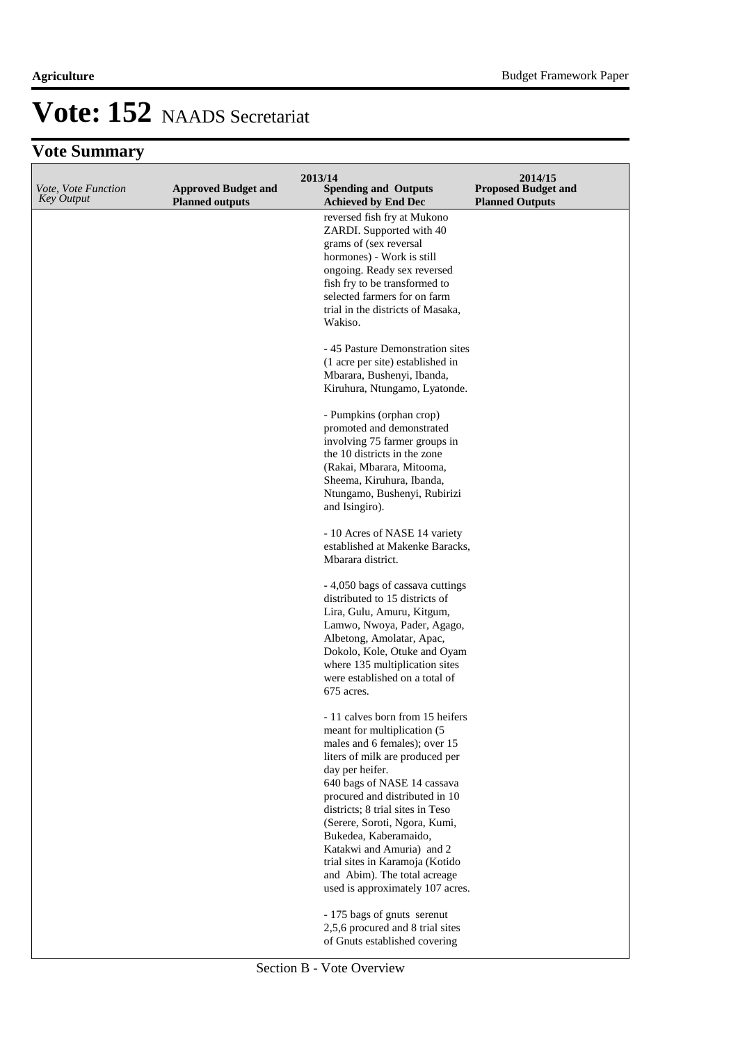| Vote, Vote Function<br><b>Key Output</b> | <b>Approved Budget and</b><br><b>Planned outputs</b> | 2013/14<br><b>Spending and Outputs</b><br><b>Achieved by End Dec</b> | 2014/15<br><b>Proposed Budget and</b><br><b>Planned Outputs</b> |
|------------------------------------------|------------------------------------------------------|----------------------------------------------------------------------|-----------------------------------------------------------------|
|                                          |                                                      | reversed fish fry at Mukono                                          |                                                                 |
|                                          |                                                      | ZARDI. Supported with 40                                             |                                                                 |
|                                          |                                                      | grams of (sex reversal                                               |                                                                 |
|                                          |                                                      | hormones) - Work is still                                            |                                                                 |
|                                          |                                                      | ongoing. Ready sex reversed                                          |                                                                 |
|                                          |                                                      | fish fry to be transformed to                                        |                                                                 |
|                                          |                                                      | selected farmers for on farm<br>trial in the districts of Masaka,    |                                                                 |
|                                          |                                                      | Wakiso.                                                              |                                                                 |
|                                          |                                                      |                                                                      |                                                                 |
|                                          |                                                      | -45 Pasture Demonstration sites                                      |                                                                 |
|                                          |                                                      | (1 acre per site) established in                                     |                                                                 |
|                                          |                                                      | Mbarara, Bushenyi, Ibanda,<br>Kiruhura, Ntungamo, Lyatonde.          |                                                                 |
|                                          |                                                      |                                                                      |                                                                 |
|                                          |                                                      | - Pumpkins (orphan crop)                                             |                                                                 |
|                                          |                                                      | promoted and demonstrated                                            |                                                                 |
|                                          |                                                      | involving 75 farmer groups in                                        |                                                                 |
|                                          |                                                      | the 10 districts in the zone                                         |                                                                 |
|                                          |                                                      | (Rakai, Mbarara, Mitooma,<br>Sheema, Kiruhura, Ibanda,               |                                                                 |
|                                          |                                                      | Ntungamo, Bushenyi, Rubirizi                                         |                                                                 |
|                                          |                                                      | and Isingiro).                                                       |                                                                 |
|                                          |                                                      |                                                                      |                                                                 |
|                                          |                                                      | - 10 Acres of NASE 14 variety                                        |                                                                 |
|                                          |                                                      | established at Makenke Baracks,                                      |                                                                 |
|                                          |                                                      | Mbarara district.                                                    |                                                                 |
|                                          |                                                      | - 4,050 bags of cassava cuttings                                     |                                                                 |
|                                          |                                                      | distributed to 15 districts of                                       |                                                                 |
|                                          |                                                      | Lira, Gulu, Amuru, Kitgum,                                           |                                                                 |
|                                          |                                                      | Lamwo, Nwoya, Pader, Agago,                                          |                                                                 |
|                                          |                                                      | Albetong, Amolatar, Apac,                                            |                                                                 |
|                                          |                                                      | Dokolo, Kole, Otuke and Oyam<br>where 135 multiplication sites       |                                                                 |
|                                          |                                                      | were established on a total of                                       |                                                                 |
|                                          |                                                      | 675 acres.                                                           |                                                                 |
|                                          |                                                      |                                                                      |                                                                 |
|                                          |                                                      | - 11 calves born from 15 heifers                                     |                                                                 |
|                                          |                                                      | meant for multiplication (5)<br>males and 6 females); over 15        |                                                                 |
|                                          |                                                      | liters of milk are produced per                                      |                                                                 |
|                                          |                                                      | day per heifer.                                                      |                                                                 |
|                                          |                                                      | 640 bags of NASE 14 cassava                                          |                                                                 |
|                                          |                                                      | procured and distributed in 10                                       |                                                                 |
|                                          |                                                      | districts; 8 trial sites in Teso<br>(Serere, Soroti, Ngora, Kumi,    |                                                                 |
|                                          |                                                      | Bukedea, Kaberamaido,                                                |                                                                 |
|                                          |                                                      | Katakwi and Amuria) and 2                                            |                                                                 |
|                                          |                                                      | trial sites in Karamoja (Kotido                                      |                                                                 |
|                                          |                                                      | and Abim). The total acreage                                         |                                                                 |
|                                          |                                                      | used is approximately 107 acres.                                     |                                                                 |
|                                          |                                                      | - 175 bags of gnuts serenut                                          |                                                                 |
|                                          |                                                      | 2,5,6 procured and 8 trial sites                                     |                                                                 |
|                                          |                                                      | of Gnuts established covering                                        |                                                                 |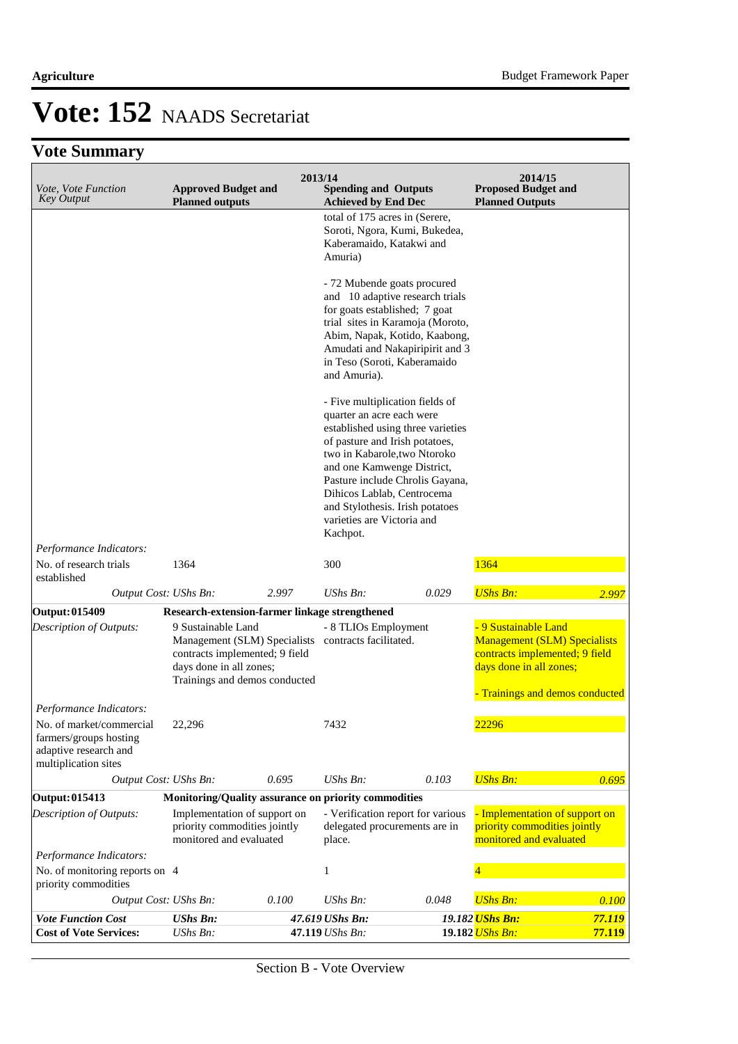| Vote, Vote Function<br><b>Key Output</b>                                                            | <b>Approved Budget and</b><br><b>Planned outputs</b>                                                                                             | 2013/14 | <b>Spending and Outputs</b><br><b>Achieved by End Dec</b>                                                                                                                                                                                                                                                                                       |       | 2014/15<br><b>Proposed Budget and</b><br><b>Planned Outputs</b>                                                                                           |        |
|-----------------------------------------------------------------------------------------------------|--------------------------------------------------------------------------------------------------------------------------------------------------|---------|-------------------------------------------------------------------------------------------------------------------------------------------------------------------------------------------------------------------------------------------------------------------------------------------------------------------------------------------------|-------|-----------------------------------------------------------------------------------------------------------------------------------------------------------|--------|
|                                                                                                     |                                                                                                                                                  |         | total of 175 acres in (Serere,<br>Soroti, Ngora, Kumi, Bukedea,<br>Kaberamaido, Katakwi and<br>Amuria)                                                                                                                                                                                                                                          |       |                                                                                                                                                           |        |
|                                                                                                     |                                                                                                                                                  |         | - 72 Mubende goats procured<br>and 10 adaptive research trials<br>for goats established; 7 goat<br>trial sites in Karamoja (Moroto,<br>Abim, Napak, Kotido, Kaabong,<br>Amudati and Nakapiripirit and 3<br>in Teso (Soroti, Kaberamaido<br>and Amuria).                                                                                         |       |                                                                                                                                                           |        |
|                                                                                                     |                                                                                                                                                  |         | - Five multiplication fields of<br>quarter an acre each were<br>established using three varieties<br>of pasture and Irish potatoes,<br>two in Kabarole, two Ntoroko<br>and one Kamwenge District,<br>Pasture include Chrolis Gayana,<br>Dihicos Lablab, Centrocema<br>and Stylothesis. Irish potatoes<br>varieties are Victoria and<br>Kachpot. |       |                                                                                                                                                           |        |
| Performance Indicators:                                                                             |                                                                                                                                                  |         |                                                                                                                                                                                                                                                                                                                                                 |       |                                                                                                                                                           |        |
| No. of research trials<br>established                                                               | 1364                                                                                                                                             |         | 300                                                                                                                                                                                                                                                                                                                                             |       | 1364                                                                                                                                                      |        |
| Output Cost: UShs Bn:                                                                               |                                                                                                                                                  | 2.997   | $UShs Bn$ :                                                                                                                                                                                                                                                                                                                                     | 0.029 | <b>UShs Bn:</b>                                                                                                                                           | 2.997  |
| <b>Output: 015409</b>                                                                               | Research-extension-farmer linkage strengthened                                                                                                   |         |                                                                                                                                                                                                                                                                                                                                                 |       |                                                                                                                                                           |        |
| Description of Outputs:                                                                             | 9 Sustainable Land<br>Management (SLM) Specialists<br>contracts implemented; 9 field<br>days done in all zones;<br>Trainings and demos conducted |         | - 8 TLIOs Employment<br>contracts facilitated.                                                                                                                                                                                                                                                                                                  |       | - 9 Sustainable Land<br><b>Management (SLM) Specialists</b><br>contracts implemented; 9 field<br>days done in all zones;<br>Trainings and demos conducted |        |
| Performance Indicators:                                                                             |                                                                                                                                                  |         |                                                                                                                                                                                                                                                                                                                                                 |       |                                                                                                                                                           |        |
| No. of market/commercial<br>farmers/groups hosting<br>adaptive research and<br>multiplication sites | 22,296                                                                                                                                           |         | 7432                                                                                                                                                                                                                                                                                                                                            |       | 22296                                                                                                                                                     |        |
| Output Cost: UShs Bn:                                                                               |                                                                                                                                                  | 0.695   | UShs Bn:                                                                                                                                                                                                                                                                                                                                        | 0.103 | <b>UShs Bn:</b>                                                                                                                                           | 0.695  |
| Output: 015413                                                                                      |                                                                                                                                                  |         | Monitoring/Quality assurance on priority commodities                                                                                                                                                                                                                                                                                            |       |                                                                                                                                                           |        |
| Description of Outputs:                                                                             | Implementation of support on<br>priority commodities jointly<br>monitored and evaluated                                                          |         | - Verification report for various<br>delegated procurements are in<br>place.                                                                                                                                                                                                                                                                    |       | - Implementation of support on<br>priority commodities jointly<br>monitored and evaluated                                                                 |        |
| Performance Indicators:                                                                             |                                                                                                                                                  |         |                                                                                                                                                                                                                                                                                                                                                 |       |                                                                                                                                                           |        |
| No. of monitoring reports on 4<br>priority commodities                                              |                                                                                                                                                  |         | 1                                                                                                                                                                                                                                                                                                                                               |       |                                                                                                                                                           |        |
| Output Cost: UShs Bn:                                                                               |                                                                                                                                                  | 0.100   | UShs Bn:                                                                                                                                                                                                                                                                                                                                        | 0.048 | <b>UShs Bn:</b>                                                                                                                                           | 0.100  |
| <b>Vote Function Cost</b>                                                                           | <b>UShs Bn:</b>                                                                                                                                  |         | 47.619 UShs Bn:                                                                                                                                                                                                                                                                                                                                 |       | 19.182 UShs Bn:                                                                                                                                           | 77.119 |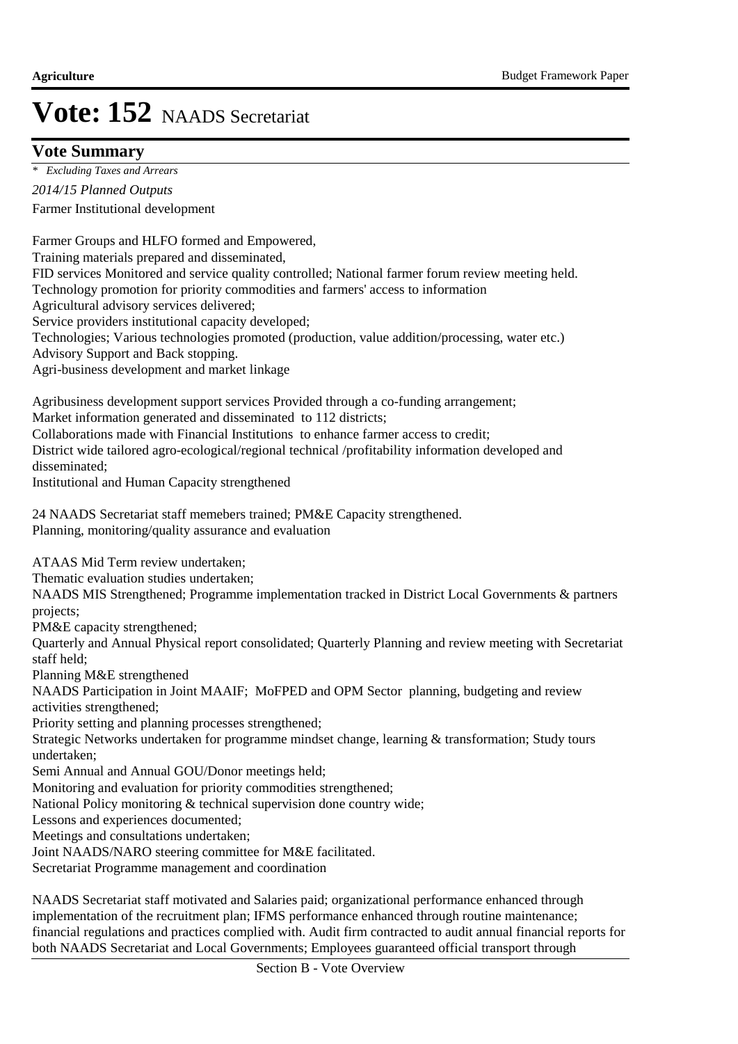### **Vote Summary**

Farmer Institutional development *2014/15 Planned Outputs \* Excluding Taxes and Arrears*

Farmer Groups and HLFO formed and Empowered, Training materials prepared and disseminated, FID services Monitored and service quality controlled; National farmer forum review meeting held. Technology promotion for priority commodities and farmers' access to information Agricultural advisory services delivered; Service providers institutional capacity developed; Technologies; Various technologies promoted (production, value addition/processing, water etc.) Advisory Support and Back stopping. Agri-business development and market linkage Agribusiness development support services Provided through a co-funding arrangement; Market information generated and disseminated to 112 districts; Collaborations made with Financial Institutions to enhance farmer access to credit; District wide tailored agro-ecological/regional technical /profitability information developed and disseminated; Institutional and Human Capacity strengthened 24 NAADS Secretariat staff memebers trained; PM&E Capacity strengthened. Planning, monitoring/quality assurance and evaluation ATAAS Mid Term review undertaken; Thematic evaluation studies undertaken; NAADS MIS Strengthened; Programme implementation tracked in District Local Governments & partners projects; PM&E capacity strengthened; Quarterly and Annual Physical report consolidated; Quarterly Planning and review meeting with Secretariat staff held; Planning M&E strengthened NAADS Participation in Joint MAAIF; MoFPED and OPM Sector planning, budgeting and review activities strengthened; Priority setting and planning processes strengthened; Strategic Networks undertaken for programme mindset change, learning & transformation; Study tours undertaken; Semi Annual and Annual GOU/Donor meetings held; Monitoring and evaluation for priority commodities strengthened; National Policy monitoring & technical supervision done country wide; Lessons and experiences documented; Meetings and consultations undertaken; Joint NAADS/NARO steering committee for M&E facilitated. Secretariat Programme management and coordination

NAADS Secretariat staff motivated and Salaries paid; organizational performance enhanced through implementation of the recruitment plan; IFMS performance enhanced through routine maintenance; financial regulations and practices complied with. Audit firm contracted to audit annual financial reports for both NAADS Secretariat and Local Governments; Employees guaranteed official transport through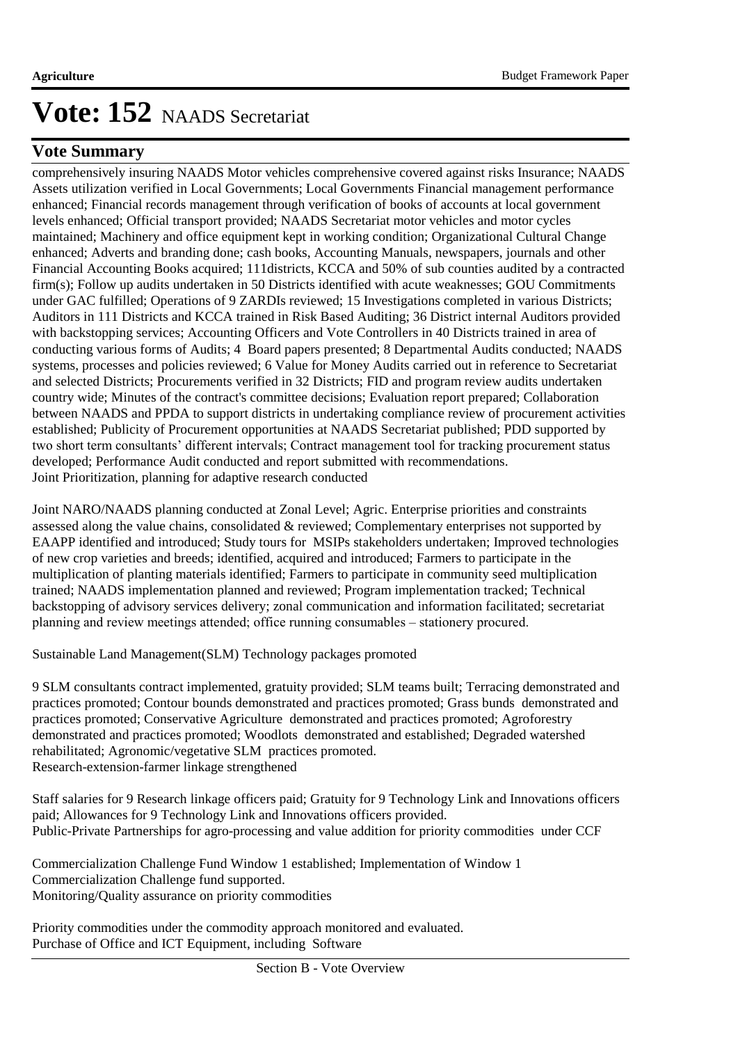### **Vote Summary**

comprehensively insuring NAADS Motor vehicles comprehensive covered against risks Insurance; NAADS Assets utilization verified in Local Governments; Local Governments Financial management performance enhanced; Financial records management through verification of books of accounts at local government levels enhanced; Official transport provided; NAADS Secretariat motor vehicles and motor cycles maintained; Machinery and office equipment kept in working condition; Organizational Cultural Change enhanced; Adverts and branding done; cash books, Accounting Manuals, newspapers, journals and other Financial Accounting Books acquired; 111districts, KCCA and 50% of sub counties audited by a contracted firm(s); Follow up audits undertaken in 50 Districts identified with acute weaknesses; GOU Commitments under GAC fulfilled; Operations of 9 ZARDIs reviewed; 15 Investigations completed in various Districts; Auditors in 111 Districts and KCCA trained in Risk Based Auditing; 36 District internal Auditors provided with backstopping services; Accounting Officers and Vote Controllers in 40 Districts trained in area of conducting various forms of Audits; 4 Board papers presented; 8 Departmental Audits conducted; NAADS systems, processes and policies reviewed; 6 Value for Money Audits carried out in reference to Secretariat and selected Districts; Procurements verified in 32 Districts; FID and program review audits undertaken country wide; Minutes of the contract's committee decisions; Evaluation report prepared; Collaboration between NAADS and PPDA to support districts in undertaking compliance review of procurement activities established; Publicity of Procurement opportunities at NAADS Secretariat published; PDD supported by two short term consultants' different intervals; Contract management tool for tracking procurement status developed; Performance Audit conducted and report submitted with recommendations. Joint Prioritization, planning for adaptive research conducted

Joint NARO/NAADS planning conducted at Zonal Level; Agric. Enterprise priorities and constraints assessed along the value chains, consolidated & reviewed; Complementary enterprises not supported by EAAPP identified and introduced; Study tours for MSIPs stakeholders undertaken; Improved technologies of new crop varieties and breeds; identified, acquired and introduced; Farmers to participate in the multiplication of planting materials identified; Farmers to participate in community seed multiplication trained; NAADS implementation planned and reviewed; Program implementation tracked; Technical backstopping of advisory services delivery; zonal communication and information facilitated; secretariat planning and review meetings attended; office running consumables – stationery procured.

Sustainable Land Management(SLM) Technology packages promoted

9 SLM consultants contract implemented, gratuity provided; SLM teams built; Terracing demonstrated and practices promoted; Contour bounds demonstrated and practices promoted; Grass bunds demonstrated and practices promoted; Conservative Agriculture demonstrated and practices promoted; Agroforestry demonstrated and practices promoted; Woodlots demonstrated and established; Degraded watershed rehabilitated; Agronomic/vegetative SLM practices promoted. Research-extension-farmer linkage strengthened

Staff salaries for 9 Research linkage officers paid; Gratuity for 9 Technology Link and Innovations officers paid; Allowances for 9 Technology Link and Innovations officers provided. Public-Private Partnerships for agro-processing and value addition for priority commodities under CCF

Commercialization Challenge Fund Window 1 established; Implementation of Window 1 Commercialization Challenge fund supported. Monitoring/Quality assurance on priority commodities

Priority commodities under the commodity approach monitored and evaluated. Purchase of Office and ICT Equipment, including Software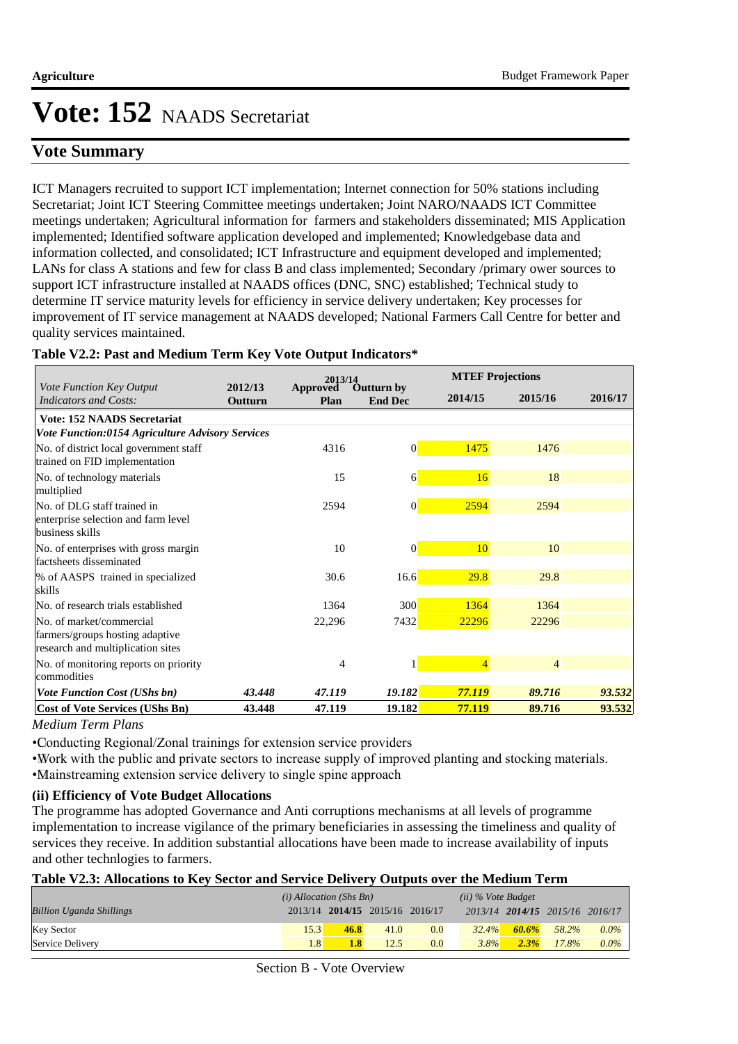### **Vote Summary**

ICT Managers recruited to support ICT implementation; Internet connection for 50% stations including Secretariat; Joint ICT Steering Committee meetings undertaken; Joint NARO/NAADS ICT Committee meetings undertaken; Agricultural information for farmers and stakeholders disseminated; MIS Application implemented; Identified software application developed and implemented; Knowledgebase data and information collected, and consolidated; ICT Infrastructure and equipment developed and implemented; LANs for class A stations and few for class B and class implemented; Secondary /primary ower sources to support ICT infrastructure installed at NAADS offices (DNC, SNC) established; Technical study to determine IT service maturity levels for efficiency in service delivery undertaken; Key processes for improvement of IT service management at NAADS developed; National Farmers Call Centre for better and quality services maintained.

|  |  |  |  | Table V2.2: Past and Medium Term Key Vote Output Indicators* |
|--|--|--|--|--------------------------------------------------------------|
|  |  |  |  |                                                              |

|                                                                                                  |                    | 2013/14          |                                     |                | <b>MTEF Projections</b> |         |  |
|--------------------------------------------------------------------------------------------------|--------------------|------------------|-------------------------------------|----------------|-------------------------|---------|--|
| Vote Function Key Output<br>Indicators and Costs:                                                | 2012/13<br>Outturn | Approved<br>Plan | <b>Outturn by</b><br><b>End Dec</b> | 2014/15        | 2015/16                 | 2016/17 |  |
| <b>Vote: 152 NAADS Secretariat</b>                                                               |                    |                  |                                     |                |                         |         |  |
| Vote Function:0154 Agriculture Advisory Services                                                 |                    |                  |                                     |                |                         |         |  |
| No. of district local government staff<br>trained on FID implementation                          |                    | 4316             | 0                                   | 1475           | 1476                    |         |  |
| No. of technology materials<br>multiplied                                                        |                    | 15               | 6                                   | 16             | 18                      |         |  |
| No. of DLG staff trained in<br>enterprise selection and farm level<br>business skills            |                    | 2594             | $\overline{0}$                      | 2594           | 2594                    |         |  |
| No. of enterprises with gross margin<br>factsheets disseminated                                  |                    | 10               | $\overline{0}$                      | 10             | 10                      |         |  |
| % of AASPS trained in specialized<br>skills                                                      |                    | 30.6             | 16.6                                | 29.8           | 29.8                    |         |  |
| No. of research trials established                                                               |                    | 1364             | 300                                 | 1364           | 1364                    |         |  |
| No. of market/commercial<br>farmers/groups hosting adaptive<br>research and multiplication sites |                    | 22,296           | 7432                                | 22296          | 22296                   |         |  |
| No. of monitoring reports on priority<br>commodities                                             |                    | 4                |                                     | $\overline{4}$ | $\overline{4}$          |         |  |
| <b>Vote Function Cost (UShs bn)</b>                                                              | 43.448             | 47.119           | 19.182                              | 77.119         | 89.716                  | 93.532  |  |
| <b>Cost of Vote Services (UShs Bn)</b>                                                           | 43.448             | 47.119           | 19.182                              | 77.119         | 89.716                  | 93.532  |  |

*Medium Term Plans*

• Conducting Regional/Zonal trainings for extension service providers

• Work with the public and private sectors to increase supply of improved planting and stocking materials.

• Mainstreaming extension service delivery to single spine approach

#### **(ii) Efficiency of Vote Budget Allocations**

The programme has adopted Governance and Anti corruptions mechanisms at all levels of programme implementation to increase vigilance of the primary beneficiaries in assessing the timeliness and quality of services they receive. In addition substantial allocations have been made to increase availability of inputs and other technlogies to farmers.

#### **Table V2.3: Allocations to Key Sector and Service Delivery Outputs over the Medium Term**

|                                 | $(i)$ Allocation (Shs Bn) |                                 |      |     | $(ii)$ % Vote Budget |       |                                 |         |
|---------------------------------|---------------------------|---------------------------------|------|-----|----------------------|-------|---------------------------------|---------|
| <b>Billion Uganda Shillings</b> |                           | 2013/14 2014/15 2015/16 2016/17 |      |     |                      |       | 2013/14 2014/15 2015/16 2016/17 |         |
| <b>Key Sector</b>               | 15.3                      | 46.8                            | 41.0 | 0.0 | 32.4%                | 60.6% | 58.2%                           | $0.0\%$ |
| Service Delivery                | 1.8                       | 1.8                             | 12.5 | 0.0 | 3.8%                 | 2.3%  | 17.8%                           | $0.0\%$ |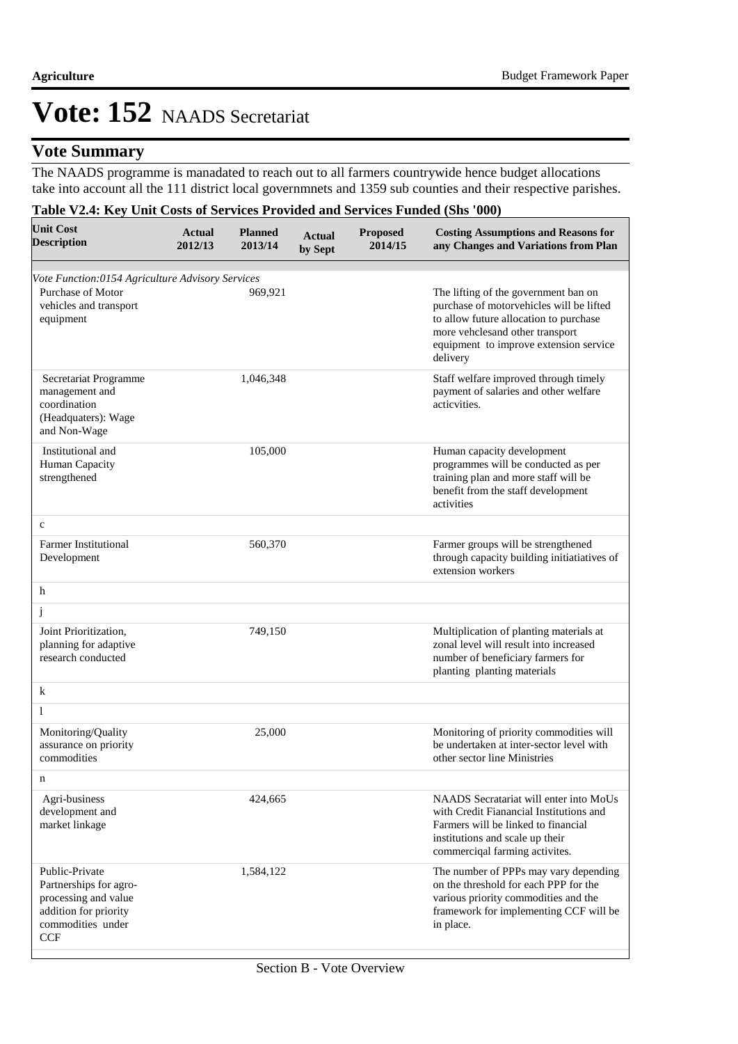### **Vote Summary**

The NAADS programme is manadated to reach out to all farmers countrywide hence budget allocations take into account all the 111 district local governmnets and 1359 sub counties and their respective parishes.

#### **Table V2.4: Key Unit Costs of Services Provided and Services Funded (Shs '000)**

| <b>Unit Cost</b><br><b>Description</b>                                                                                       | <b>Actual</b><br>2012/13 | <b>Planned</b><br>2013/14 | <b>Actual</b><br>by Sept | <b>Proposed</b><br>2014/15 | <b>Costing Assumptions and Reasons for</b><br>any Changes and Variations from Plan                                                                                                                                  |
|------------------------------------------------------------------------------------------------------------------------------|--------------------------|---------------------------|--------------------------|----------------------------|---------------------------------------------------------------------------------------------------------------------------------------------------------------------------------------------------------------------|
| Vote Function:0154 Agriculture Advisory Services<br>Purchase of Motor<br>vehicles and transport<br>equipment                 |                          | 969,921                   |                          |                            | The lifting of the government ban on<br>purchase of motorvehicles will be lifted<br>to allow future allocation to purchase<br>more vehclesand other transport<br>equipment to improve extension service<br>delivery |
| Secretariat Programme<br>management and<br>coordination<br>(Headquaters): Wage<br>and Non-Wage                               |                          | 1,046,348                 |                          |                            | Staff welfare improved through timely<br>payment of salaries and other welfare<br>acticvities.                                                                                                                      |
| Institutional and<br>Human Capacity<br>strengthened                                                                          |                          | 105,000                   |                          |                            | Human capacity development<br>programmes will be conducted as per<br>training plan and more staff will be<br>benefit from the staff development<br>activities                                                       |
| $\mathbf c$                                                                                                                  |                          |                           |                          |                            |                                                                                                                                                                                                                     |
| <b>Farmer Institutional</b><br>Development                                                                                   |                          | 560,370                   |                          |                            | Farmer groups will be strengthened<br>through capacity building initiatiatives of<br>extension workers                                                                                                              |
| h                                                                                                                            |                          |                           |                          |                            |                                                                                                                                                                                                                     |
| j                                                                                                                            |                          |                           |                          |                            |                                                                                                                                                                                                                     |
| Joint Prioritization,<br>planning for adaptive<br>research conducted                                                         |                          | 749,150                   |                          |                            | Multiplication of planting materials at<br>zonal level will result into increased<br>number of beneficiary farmers for<br>planting planting materials                                                               |
| $\bf k$                                                                                                                      |                          |                           |                          |                            |                                                                                                                                                                                                                     |
| 1                                                                                                                            |                          |                           |                          |                            |                                                                                                                                                                                                                     |
| Monitoring/Quality<br>assurance on priority<br>commodities                                                                   |                          | 25,000                    |                          |                            | Monitoring of priority commodities will<br>be undertaken at inter-sector level with<br>other sector line Ministries                                                                                                 |
| n                                                                                                                            |                          |                           |                          |                            |                                                                                                                                                                                                                     |
| Agri-business<br>development and<br>market linkage                                                                           |                          | 424,665                   |                          |                            | NAADS Secratariat will enter into MoUs<br>with Credit Fianancial Institutions and<br>Farmers will be linked to financial<br>institutions and scale up their<br>commercigal farming activites.                       |
| Public-Private<br>Partnerships for agro-<br>processing and value<br>addition for priority<br>commodities under<br><b>CCF</b> |                          | 1,584,122                 |                          |                            | The number of PPPs may vary depending<br>on the threshold for each PPP for the<br>various priority commodities and the<br>framework for implementing CCF will be<br>in place.                                       |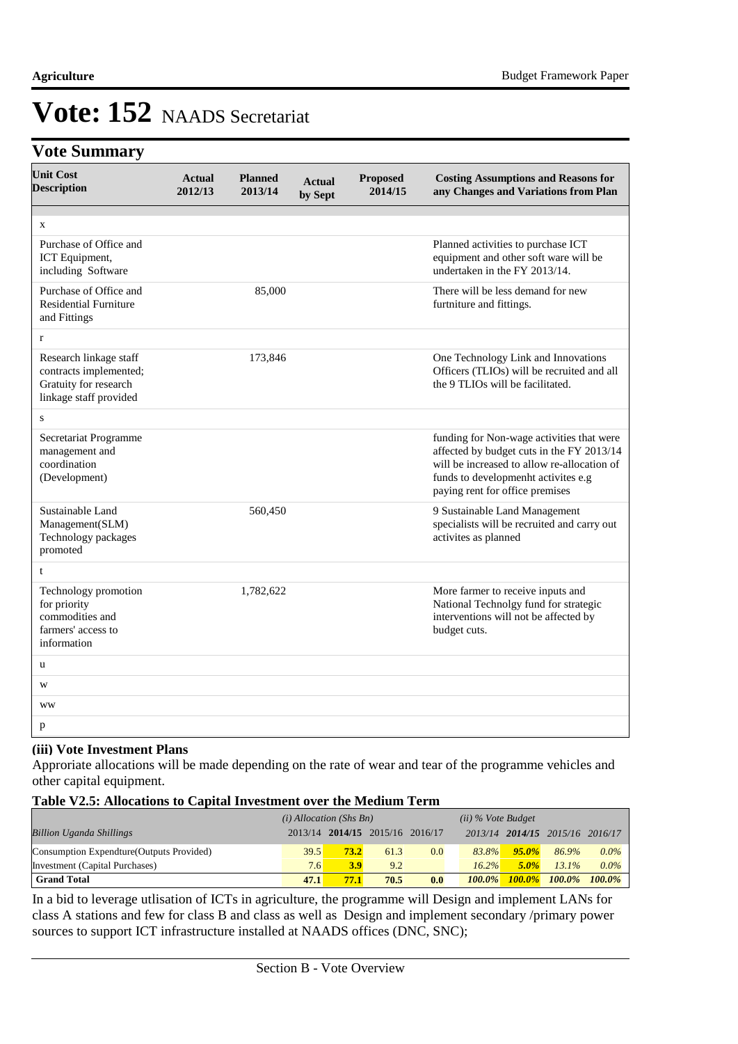### **Vote Summary**

| <b>Unit Cost</b><br><b>Description</b>                                                              | <b>Actual</b><br>2012/13 | <b>Planned</b><br>2013/14 | <b>Actual</b><br>by Sept | <b>Proposed</b><br>2014/15 | <b>Costing Assumptions and Reasons for</b><br>any Changes and Variations from Plan                                                                                                                              |
|-----------------------------------------------------------------------------------------------------|--------------------------|---------------------------|--------------------------|----------------------------|-----------------------------------------------------------------------------------------------------------------------------------------------------------------------------------------------------------------|
|                                                                                                     |                          |                           |                          |                            |                                                                                                                                                                                                                 |
| X<br>Purchase of Office and<br>ICT Equipment,<br>including Software                                 |                          |                           |                          |                            | Planned activities to purchase ICT<br>equipment and other soft ware will be<br>undertaken in the FY 2013/14.                                                                                                    |
| Purchase of Office and<br><b>Residential Furniture</b><br>and Fittings                              |                          | 85,000                    |                          |                            | There will be less demand for new<br>furtniture and fittings.                                                                                                                                                   |
| $\mathbf{r}$                                                                                        |                          |                           |                          |                            |                                                                                                                                                                                                                 |
| Research linkage staff<br>contracts implemented;<br>Gratuity for research<br>linkage staff provided |                          | 173,846                   |                          |                            | One Technology Link and Innovations<br>Officers (TLIOs) will be recruited and all<br>the 9 TLIOs will be facilitated.                                                                                           |
| S                                                                                                   |                          |                           |                          |                            |                                                                                                                                                                                                                 |
| Secretariat Programme<br>management and<br>coordination<br>(Development)                            |                          |                           |                          |                            | funding for Non-wage activities that were<br>affected by budget cuts in the FY 2013/14<br>will be increased to allow re-allocation of<br>funds to developmenht activites e.g<br>paying rent for office premises |
| Sustainable Land<br>Management(SLM)<br>Technology packages<br>promoted                              |                          | 560,450                   |                          |                            | 9 Sustainable Land Management<br>specialists will be recruited and carry out<br>activites as planned                                                                                                            |
| t                                                                                                   |                          |                           |                          |                            |                                                                                                                                                                                                                 |
| Technology promotion<br>for priority<br>commodities and<br>farmers' access to<br>information        |                          | 1,782,622                 |                          |                            | More farmer to receive inputs and<br>National Technolgy fund for strategic<br>interventions will not be affected by<br>budget cuts.                                                                             |
| u                                                                                                   |                          |                           |                          |                            |                                                                                                                                                                                                                 |
| W                                                                                                   |                          |                           |                          |                            |                                                                                                                                                                                                                 |
| <b>WW</b>                                                                                           |                          |                           |                          |                            |                                                                                                                                                                                                                 |
| p                                                                                                   |                          |                           |                          |                            |                                                                                                                                                                                                                 |

#### **(iii) Vote Investment Plans**

Approriate allocations will be made depending on the rate of wear and tear of the programme vehicles and other capital equipment.

#### **Table V2.5: Allocations to Capital Investment over the Medium Term**

|                                           | $(i)$ Allocation (Shs Bn) |      |                                 |     | $(ii)$ % Vote Budget |           |                                 |           |
|-------------------------------------------|---------------------------|------|---------------------------------|-----|----------------------|-----------|---------------------------------|-----------|
| <b>Billion Uganda Shillings</b>           |                           |      | 2013/14 2014/15 2015/16 2016/17 |     |                      |           | 2013/14 2014/15 2015/16 2016/17 |           |
| Consumption Expendture (Outputs Provided) | 39.5                      | 73.2 | 61.3                            | 0.0 | 83.8%                | $95.0\%$  | 86.9%                           | $0.0\%$   |
| Investment (Capital Purchases)            | 7.6                       | 3.9  | 9.2                             |     | $16.2\%$             | $5.0\%$   | $13.1\%$                        | $0.0\%$   |
| <b>Grand Total</b>                        | 47.1                      | 77.1 | 70.5                            | 0.0 | $100.0\%$            | $100.0\%$ | $100.0\%$                       | $100.0\%$ |

In a bid to leverage utlisation of ICTs in agriculture, the programme will Design and implement LANs for class A stations and few for class B and class as well as Design and implement secondary /primary power sources to support ICT infrastructure installed at NAADS offices (DNC, SNC);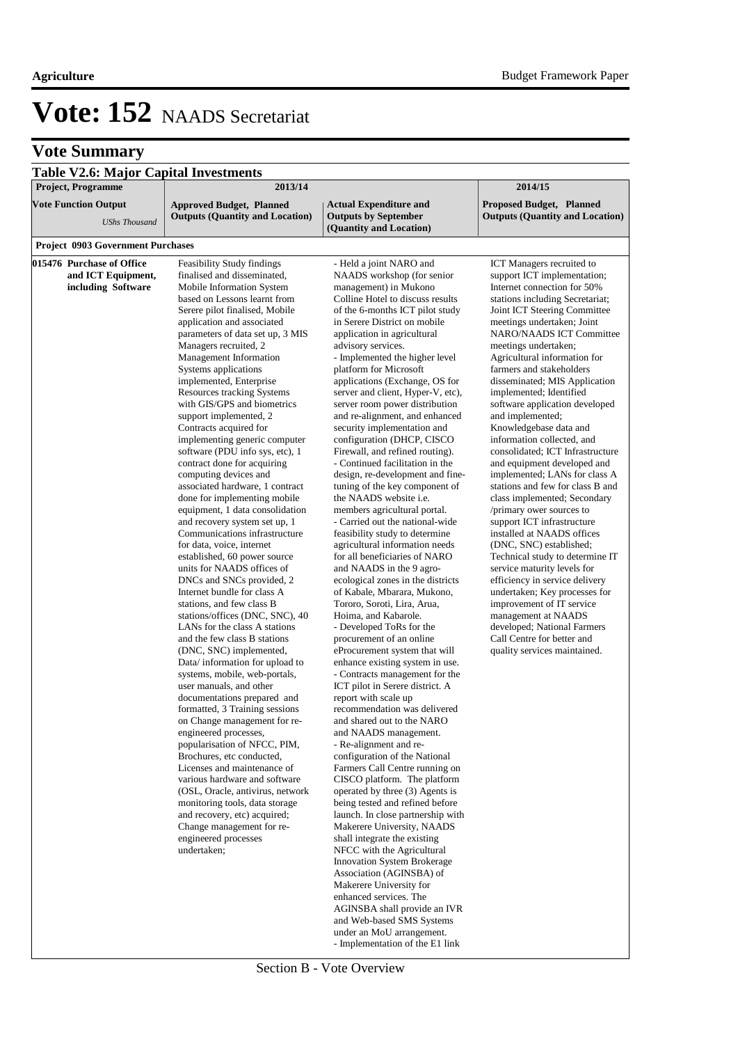### **Vote Summary**

| <b>Table V2.6: Major Capital Investments</b> |                                                                 |                                                                 |                                                           |
|----------------------------------------------|-----------------------------------------------------------------|-----------------------------------------------------------------|-----------------------------------------------------------|
| <b>Project, Programme</b>                    | 2013/14                                                         |                                                                 | 2014/15                                                   |
| <b>Vote Function Output</b>                  | <b>Approved Budget, Planned</b>                                 | <b>Actual Expenditure and</b>                                   | <b>Proposed Budget, Planned</b>                           |
|                                              | <b>Outputs (Quantity and Location)</b>                          | <b>Outputs by September</b>                                     | <b>Outputs (Quantity and Location)</b>                    |
| <b>UShs Thousand</b>                         |                                                                 | (Quantity and Location)                                         |                                                           |
| <b>Project 0903 Government Purchases</b>     |                                                                 |                                                                 |                                                           |
| 015476 Purchase of Office                    | Feasibility Study findings                                      | - Held a joint NARO and                                         | ICT Managers recruited to                                 |
| and ICT Equipment,                           | finalised and disseminated,                                     | NAADS workshop (for senior                                      | support ICT implementation;                               |
| including Software                           | Mobile Information System                                       | management) in Mukono                                           | Internet connection for 50%                               |
|                                              | based on Lessons learnt from                                    | Colline Hotel to discuss results                                | stations including Secretariat;                           |
|                                              | Serere pilot finalised, Mobile                                  | of the 6-months ICT pilot study                                 | Joint ICT Steering Committee                              |
|                                              | application and associated                                      | in Serere District on mobile                                    | meetings undertaken; Joint                                |
|                                              | parameters of data set up, 3 MIS                                | application in agricultural                                     | <b>NARO/NAADS ICT Committee</b>                           |
|                                              | Managers recruited, 2                                           | advisory services.                                              | meetings undertaken;                                      |
|                                              | Management Information                                          | - Implemented the higher level                                  | Agricultural information for                              |
|                                              | Systems applications<br>implemented, Enterprise                 | platform for Microsoft<br>applications (Exchange, OS for        | farmers and stakeholders<br>disseminated; MIS Application |
|                                              | Resources tracking Systems                                      | server and client, Hyper-V, etc),                               | implemented; Identified                                   |
|                                              | with GIS/GPS and biometrics                                     | server room power distribution                                  | software application developed                            |
|                                              | support implemented, 2                                          | and re-alignment, and enhanced                                  | and implemented;                                          |
|                                              | Contracts acquired for                                          | security implementation and                                     | Knowledgebase data and                                    |
|                                              | implementing generic computer                                   | configuration (DHCP, CISCO                                      | information collected, and                                |
|                                              | software (PDU info sys, etc), 1                                 | Firewall, and refined routing).                                 | consolidated; ICT Infrastructure                          |
|                                              | contract done for acquiring                                     | - Continued facilitation in the                                 | and equipment developed and                               |
|                                              | computing devices and                                           | design, re-development and fine-                                | implemented; LANs for class A                             |
|                                              | associated hardware, 1 contract                                 | tuning of the key component of<br>the NAADS website <i>i.e.</i> | stations and few for class B and                          |
|                                              | done for implementing mobile<br>equipment, 1 data consolidation | members agricultural portal.                                    | class implemented; Secondary<br>/primary ower sources to  |
|                                              | and recovery system set up, 1                                   | - Carried out the national-wide                                 | support ICT infrastructure                                |
|                                              | Communications infrastructure                                   | feasibility study to determine                                  | installed at NAADS offices                                |
|                                              | for data, voice, internet                                       | agricultural information needs                                  | (DNC, SNC) established;                                   |
|                                              | established, 60 power source                                    | for all beneficiaries of NARO                                   | Technical study to determine IT                           |
|                                              | units for NAADS offices of                                      | and NAADS in the 9 agro-                                        | service maturity levels for                               |
|                                              | DNCs and SNCs provided, 2                                       | ecological zones in the districts                               | efficiency in service delivery                            |
|                                              | Internet bundle for class A                                     | of Kabale, Mbarara, Mukono,                                     | undertaken; Key processes for                             |
|                                              | stations, and few class B<br>stations/offices (DNC, SNC), 40    | Tororo, Soroti, Lira, Arua,<br>Hoima, and Kabarole.             | improvement of IT service<br>management at NAADS          |
|                                              | LANs for the class A stations                                   | - Developed ToRs for the                                        | developed; National Farmers                               |
|                                              | and the few class B stations                                    | procurement of an online                                        | Call Centre for better and                                |
|                                              | (DNC, SNC) implemented,                                         | eProcurement system that will                                   | quality services maintained.                              |
|                                              | Data/information for upload to                                  | enhance existing system in use.                                 |                                                           |
|                                              | systems, mobile, web-portals,                                   | - Contracts management for the                                  |                                                           |
|                                              | user manuals, and other                                         | ICT pilot in Serere district. A                                 |                                                           |
|                                              | documentations prepared and                                     | report with scale up                                            |                                                           |
|                                              | formatted, 3 Training sessions<br>on Change management for re-  | recommendation was delivered<br>and shared out to the NARO      |                                                           |
|                                              | engineered processes,                                           | and NAADS management.                                           |                                                           |
|                                              | popularisation of NFCC, PIM,                                    | - Re-alignment and re-                                          |                                                           |
|                                              | Brochures, etc conducted,                                       | configuration of the National                                   |                                                           |
|                                              | Licenses and maintenance of                                     | Farmers Call Centre running on                                  |                                                           |
|                                              | various hardware and software                                   | CISCO platform. The platform                                    |                                                           |
|                                              | (OSL, Oracle, antivirus, network                                | operated by three (3) Agents is                                 |                                                           |
|                                              | monitoring tools, data storage<br>and recovery, etc) acquired;  | being tested and refined before                                 |                                                           |
|                                              | Change management for re-                                       | launch. In close partnership with<br>Makerere University, NAADS |                                                           |
|                                              | engineered processes                                            | shall integrate the existing                                    |                                                           |
|                                              | undertaken:                                                     | NFCC with the Agricultural                                      |                                                           |
|                                              |                                                                 | <b>Innovation System Brokerage</b>                              |                                                           |
|                                              |                                                                 | Association (AGINSBA) of                                        |                                                           |
|                                              |                                                                 | Makerere University for                                         |                                                           |
|                                              |                                                                 | enhanced services. The                                          |                                                           |
|                                              |                                                                 | AGINSBA shall provide an IVR                                    |                                                           |
|                                              |                                                                 | and Web-based SMS Systems                                       |                                                           |

under an MoU arrangement. - Implementation of the E1 link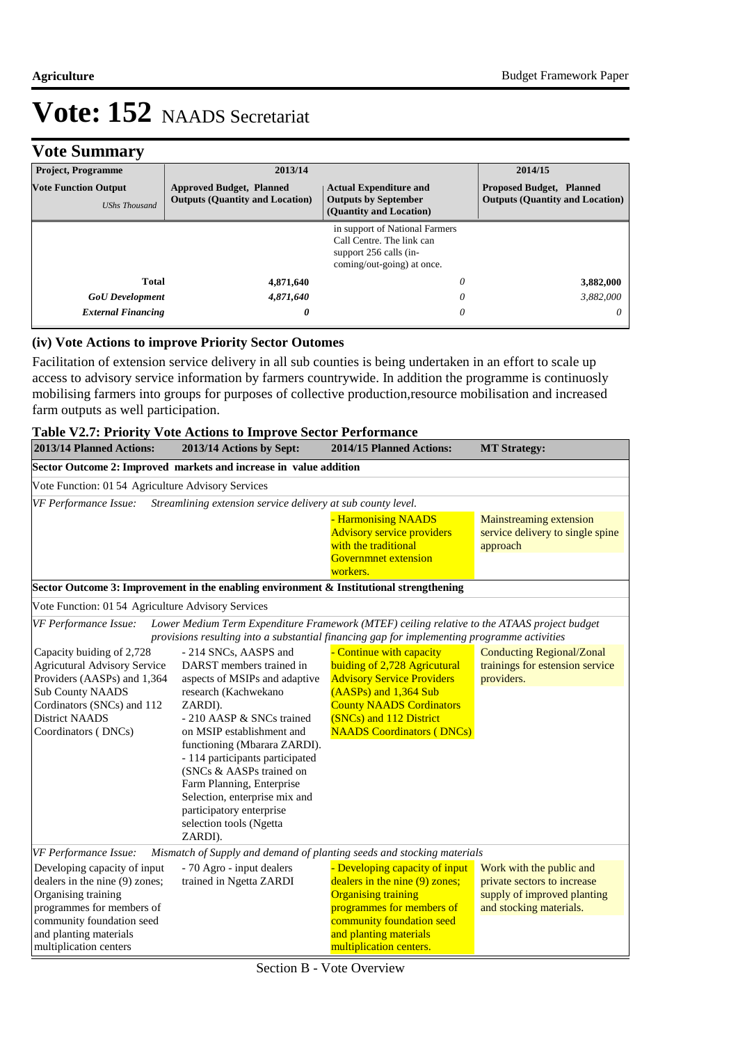### **Vote Summary**

| <b>Project, Programme</b>                                                                   | 2013/14                                                                   | 2014/15                                                                                                                                        |                                                                           |
|---------------------------------------------------------------------------------------------|---------------------------------------------------------------------------|------------------------------------------------------------------------------------------------------------------------------------------------|---------------------------------------------------------------------------|
| <b>Vote Function Output</b><br><b>UShs Thousand</b>                                         | <b>Approved Budget, Planned</b><br><b>Outputs (Quantity and Location)</b> | <b>Actual Expenditure and</b><br><b>Outputs by September</b>                                                                                   | <b>Proposed Budget, Planned</b><br><b>Outputs (Quantity and Location)</b> |
|                                                                                             |                                                                           | (Quantity and Location)<br>in support of National Farmers<br>Call Centre. The link can<br>support 256 calls (in-<br>coming/out-going) at once. |                                                                           |
| Total<br>4,871,640<br>4,871,640<br><b>GoU</b> Development<br><b>External Financing</b><br>0 |                                                                           | 0<br>0<br>0                                                                                                                                    | 3,882,000<br>3,882,000<br>$\theta$                                        |

#### **(iv) Vote Actions to improve Priority Sector Outomes**

Facilitation of extension service delivery in all sub counties is being undertaken in an effort to scale up access to advisory service information by farmers countrywide. In addition the programme is continuosly mobilising farmers into groups for purposes of collective production,resource mobilisation and increased farm outputs as well participation.

| 2013/14 Planned Actions:                                                                                                                                                                                                     | <b>Table V2.7: Priority Vote Actions to Improve Sector Performance</b><br>2013/14 Actions by Sept:                                                                                                                                                                                                                                                                                                             | 2014/15 Planned Actions:                                                                                                                                                                                                 |                                                                                                                   |
|------------------------------------------------------------------------------------------------------------------------------------------------------------------------------------------------------------------------------|----------------------------------------------------------------------------------------------------------------------------------------------------------------------------------------------------------------------------------------------------------------------------------------------------------------------------------------------------------------------------------------------------------------|--------------------------------------------------------------------------------------------------------------------------------------------------------------------------------------------------------------------------|-------------------------------------------------------------------------------------------------------------------|
|                                                                                                                                                                                                                              |                                                                                                                                                                                                                                                                                                                                                                                                                |                                                                                                                                                                                                                          | <b>MT Strategy:</b>                                                                                               |
|                                                                                                                                                                                                                              | Sector Outcome 2: Improved markets and increase in value addition                                                                                                                                                                                                                                                                                                                                              |                                                                                                                                                                                                                          |                                                                                                                   |
| Vote Function: 01 54 Agriculture Advisory Services                                                                                                                                                                           |                                                                                                                                                                                                                                                                                                                                                                                                                |                                                                                                                                                                                                                          |                                                                                                                   |
| VF Performance Issue:                                                                                                                                                                                                        | Streamlining extension service delivery at sub county level.                                                                                                                                                                                                                                                                                                                                                   |                                                                                                                                                                                                                          |                                                                                                                   |
|                                                                                                                                                                                                                              |                                                                                                                                                                                                                                                                                                                                                                                                                | - Harmonising NAADS<br><b>Advisory service providers</b><br>with the traditional                                                                                                                                         | Mainstreaming extension<br>service delivery to single spine<br>approach                                           |
|                                                                                                                                                                                                                              |                                                                                                                                                                                                                                                                                                                                                                                                                | <b>Governmnet extension</b><br>workers.                                                                                                                                                                                  |                                                                                                                   |
|                                                                                                                                                                                                                              | Sector Outcome 3: Improvement in the enabling environment & Institutional strengthening                                                                                                                                                                                                                                                                                                                        |                                                                                                                                                                                                                          |                                                                                                                   |
|                                                                                                                                                                                                                              |                                                                                                                                                                                                                                                                                                                                                                                                                |                                                                                                                                                                                                                          |                                                                                                                   |
| Vote Function: 01 54 Agriculture Advisory Services                                                                                                                                                                           |                                                                                                                                                                                                                                                                                                                                                                                                                |                                                                                                                                                                                                                          |                                                                                                                   |
| VF Performance Issue:                                                                                                                                                                                                        | Lower Medium Term Expenditure Framework (MTEF) ceiling relative to the ATAAS project budget<br>provisions resulting into a substantial financing gap for implementing programme activities                                                                                                                                                                                                                     |                                                                                                                                                                                                                          |                                                                                                                   |
| Capacity buiding of 2,728<br><b>Agricutural Advisory Service</b><br>Providers (AASPs) and 1,364<br><b>Sub County NAADS</b><br>Cordinators (SNCs) and 112<br><b>District NAADS</b><br>Coordinators (DNCs)                     | - 214 SNCs, AASPS and<br>DARST members trained in<br>aspects of MSIPs and adaptive<br>research (Kachwekano<br>ZARDI).<br>- 210 AASP & SNCs trained<br>on MSIP establishment and<br>functioning (Mbarara ZARDI).<br>- 114 participants participated<br>(SNCs & AASPs trained on<br>Farm Planning, Enterprise<br>Selection, enterprise mix and<br>participatory enterprise<br>selection tools (Ngetta<br>ZARDI). | - Continue with capacity<br>buiding of 2,728 Agricutural<br><b>Advisory Service Providers</b><br>(AASPs) and 1,364 Sub<br><b>County NAADS Cordinators</b><br>(SNCs) and 112 District<br><b>NAADS Coordinators (DNCs)</b> | <b>Conducting Regional/Zonal</b><br>trainings for estension service<br>providers.                                 |
| VF Performance Issue:<br>Developing capacity of input<br>dealers in the nine (9) zones;<br>Organising training<br>programmes for members of<br>community foundation seed<br>and planting materials<br>multiplication centers | Mismatch of Supply and demand of planting seeds and stocking materials<br>- 70 Agro - input dealers<br>trained in Ngetta ZARDI                                                                                                                                                                                                                                                                                 | - Developing capacity of input<br>dealers in the nine (9) zones;<br><b>Organising training</b><br>programmes for members of<br>community foundation seed<br>and planting materials<br>multiplication centers.            | Work with the public and<br>private sectors to increase<br>supply of improved planting<br>and stocking materials. |

Section B - Vote Overview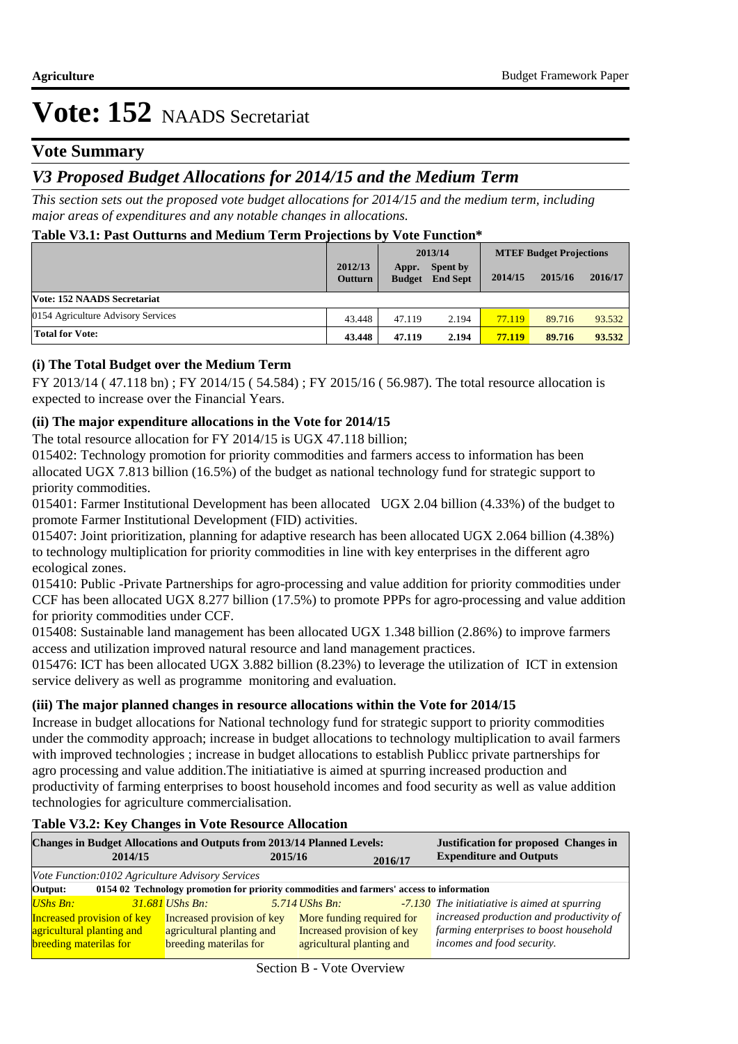### **Vote Summary**

### *V3 Proposed Budget Allocations for 2014/15 and the Medium Term*

*This section sets out the proposed vote budget allocations for 2014/15 and the medium term, including major areas of expenditures and any notable changes in allocations.* 

#### **Table V3.1: Past Outturns and Medium Term Projections by Vote Function\***

|                                    |                           |                        | 2013/14                            | <b>MTEF Budget Projections</b> |         |         |
|------------------------------------|---------------------------|------------------------|------------------------------------|--------------------------------|---------|---------|
|                                    | 2012/13<br><b>Outturn</b> | Appr.<br><b>Budget</b> | <b>Spent by</b><br><b>End Sept</b> | 2014/15                        | 2015/16 | 2016/17 |
| Vote: 152 NAADS Secretariat        |                           |                        |                                    |                                |         |         |
| 0154 Agriculture Advisory Services | 43.448                    | 47.119                 | 2.194                              | 77.119                         | 89.716  | 93.532  |
| <b>Total for Vote:</b>             | 43.448                    | 47.119                 | 2.194                              | 77.119                         | 89.716  | 93.532  |

#### **(i) The Total Budget over the Medium Term**

FY 2013/14 ( 47.118 bn) ; FY 2014/15 ( 54.584) ; FY 2015/16 ( 56.987). The total resource allocation is expected to increase over the Financial Years.

#### **(ii) The major expenditure allocations in the Vote for 2014/15**

The total resource allocation for FY 2014/15 is UGX 47.118 billion;

015402: Technology promotion for priority commodities and farmers access to information has been allocated UGX 7.813 billion (16.5%) of the budget as national technology fund for strategic support to priority commodities.

015401: Farmer Institutional Development has been allocated UGX 2.04 billion (4.33%) of the budget to promote Farmer Institutional Development (FID) activities.

015407: Joint prioritization, planning for adaptive research has been allocated UGX 2.064 billion (4.38%) to technology multiplication for priority commodities in line with key enterprises in the different agro ecological zones.

015410: Public -Private Partnerships for agro-processing and value addition for priority commodities under CCF has been allocated UGX 8.277 billion (17.5%) to promote PPPs for agro-processing and value addition for priority commodities under CCF.

015408: Sustainable land management has been allocated UGX 1.348 billion (2.86%) to improve farmers access and utilization improved natural resource and land management practices.

015476: ICT has been allocated UGX 3.882 billion (8.23%) to leverage the utilization of ICT in extension service delivery as well as programme monitoring and evaluation.

#### **(iii) The major planned changes in resource allocations within the Vote for 2014/15**

Increase in budget allocations for National technology fund for strategic support to priority commodities under the commodity approach; increase in budget allocations to technology multiplication to avail farmers with improved technologies ; increase in budget allocations to establish Publicc private partnerships for agro processing and value addition.The initiatiative is aimed at spurring increased production and productivity of farming enterprises to boost household incomes and food security as well as value addition technologies for agriculture commercialisation.

#### **Table V3.2: Key Changes in Vote Resource Allocation**

| <b>Justification for proposed Changes in</b><br><b>Expenditure and Outputs</b> |  |
|--------------------------------------------------------------------------------|--|
|                                                                                |  |
|                                                                                |  |
|                                                                                |  |
| $-7.130$ The initiatiative is aimed at spurring                                |  |
| increased production and productivity of                                       |  |
| farming enterprises to boost household                                         |  |
| incomes and food security.                                                     |  |
|                                                                                |  |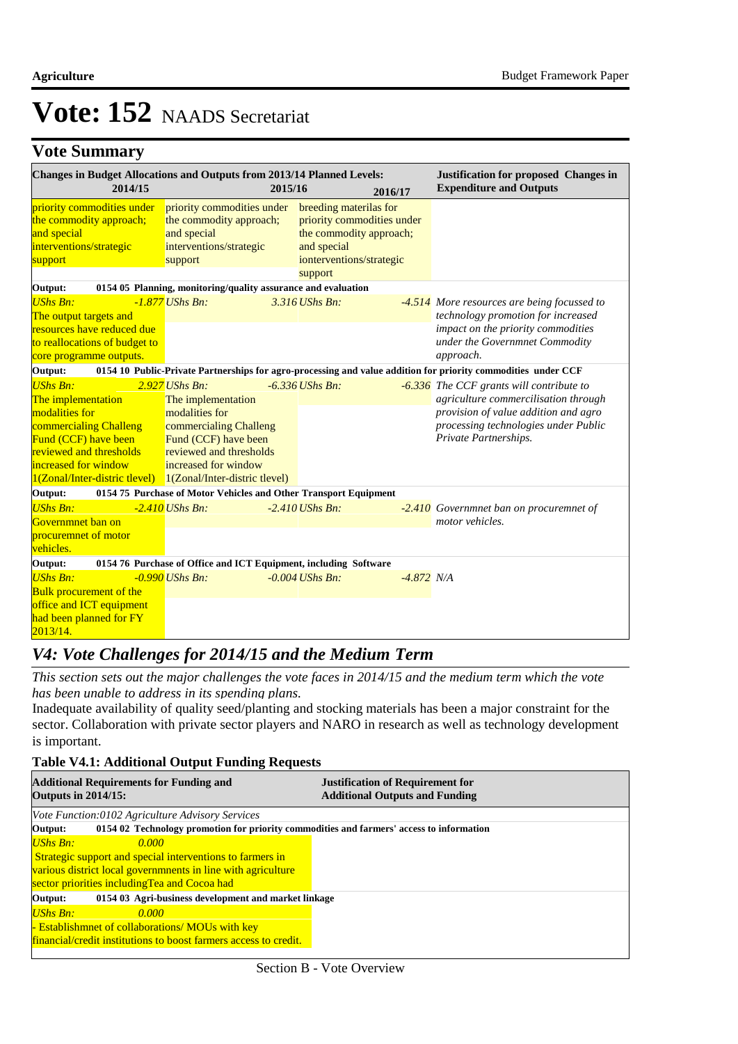### **Vote Summary**

| <b>Changes in Budget Allocations and Outputs from 2013/14 Planned Levels:</b><br>2014/15                                                                                                                                        |                                                                                                                                                               | 2015/16 | 2016/17                                                                                                                    |              | <b>Justification for proposed Changes in</b><br><b>Expenditure and Outputs</b>                                                                                                            |
|---------------------------------------------------------------------------------------------------------------------------------------------------------------------------------------------------------------------------------|---------------------------------------------------------------------------------------------------------------------------------------------------------------|---------|----------------------------------------------------------------------------------------------------------------------------|--------------|-------------------------------------------------------------------------------------------------------------------------------------------------------------------------------------------|
| priority commodities under<br>the commodity approach;<br>and special<br>interventions/strategic<br>support                                                                                                                      | priority commodities under<br>the commodity approach;<br>and special<br>interventions/strategic<br>support                                                    |         | breeding materilas for<br>priority commodities under<br>the commodity approach;<br>and special<br>ionterventions/strategic |              |                                                                                                                                                                                           |
| Output:                                                                                                                                                                                                                         | 0154 05 Planning, monitoring/quality assurance and evaluation                                                                                                 |         | support                                                                                                                    |              |                                                                                                                                                                                           |
| <b>UShs Bn:</b><br>The output targets and<br><b>resources have reduced due</b><br>to reallocations of budget to<br>core programme outputs.                                                                                      | $-1.877$ UShs Bn:                                                                                                                                             |         | 3.316 UShs Bn:                                                                                                             |              | -4.514 More resources are being focussed to<br>technology promotion for increased<br>impact on the priority commodities<br>under the Governmnet Commodity<br>approach.                    |
| Output:                                                                                                                                                                                                                         |                                                                                                                                                               |         |                                                                                                                            |              | 0154 10 Public-Private Partnerships for agro-processing and value addition for priority commodities under CCF                                                                             |
| <b>UShs Bn:</b><br>The implementation<br>modalities for<br>commercialing Challeng<br>Fund (CCF) have been<br>reviewed and thresholds<br>increased for window<br>$1(Zonal/Inter-distribt level)$ $1(Zonal/Inter-distribt level)$ | $2.927$ UShs Bn:<br>The implementation<br>modalities for<br>commercialing Challeng<br>Fund (CCF) have been<br>reviewed and thresholds<br>increased for window |         | $-6.336$ UShs Bn:                                                                                                          |              | -6.336 The CCF grants will contribute to<br>agriculture commercilisation through<br>provision of value addition and agro<br>processing technologies under Public<br>Private Partnerships. |
| Output:                                                                                                                                                                                                                         | 0154 75 Purchase of Motor Vehicles and Other Transport Equipment                                                                                              |         |                                                                                                                            |              |                                                                                                                                                                                           |
| <b>UShs Bn:</b><br>Governmnet ban on<br>procuremnet of motor<br>vehicles.                                                                                                                                                       | $-2.410$ UShs Bn:                                                                                                                                             |         | $-2.410$ UShs Bn:                                                                                                          |              | -2.410 Governmnet ban on procuremnet of<br>motor vehicles.                                                                                                                                |
| Output:                                                                                                                                                                                                                         | 0154 76 Purchase of Office and ICT Equipment, including Software                                                                                              |         |                                                                                                                            |              |                                                                                                                                                                                           |
| <b>UShs Bn:</b><br><b>Bulk procurement of the</b><br>office and ICT equipment<br>had been planned for FY<br>2013/14.                                                                                                            | $-0.990$ UShs Bn:                                                                                                                                             |         | $-0.004$ UShs Bn:                                                                                                          | $-4.872$ N/A |                                                                                                                                                                                           |

### *V4: Vote Challenges for 2014/15 and the Medium Term*

*This section sets out the major challenges the vote faces in 2014/15 and the medium term which the vote has been unable to address in its spending plans.*

Inadequate availability of quality seed/planting and stocking materials has been a major constraint for the sector. Collaboration with private sector players and NARO in research as well as technology development is important.

#### **Table V4.1: Additional Output Funding Requests**

| <b>Additional Requirements for Funding and</b><br><b>Outputs in 2014/15:</b>                        | <b>Justification of Requirement for</b><br><b>Additional Outputs and Funding</b> |  |  |  |
|-----------------------------------------------------------------------------------------------------|----------------------------------------------------------------------------------|--|--|--|
| Vote Function:0102 Agriculture Advisory Services                                                    |                                                                                  |  |  |  |
| Output:<br>0154 02 Technology promotion for priority commodities and farmers' access to information |                                                                                  |  |  |  |
| UShs Bn:<br>0.000                                                                                   |                                                                                  |  |  |  |
| Strategic support and special interventions to farmers in                                           |                                                                                  |  |  |  |
| various district local governments in line with agriculture                                         |                                                                                  |  |  |  |
| sector priorities including Tea and Cocoa had                                                       |                                                                                  |  |  |  |
| 0154 03 Agri-business development and market linkage<br>Output:                                     |                                                                                  |  |  |  |
| $UShs Bn:$<br>0.000                                                                                 |                                                                                  |  |  |  |
| - Establishmet of collaborations/MOUs with key                                                      |                                                                                  |  |  |  |
| financial/credit institutions to boost farmers access to credit.                                    |                                                                                  |  |  |  |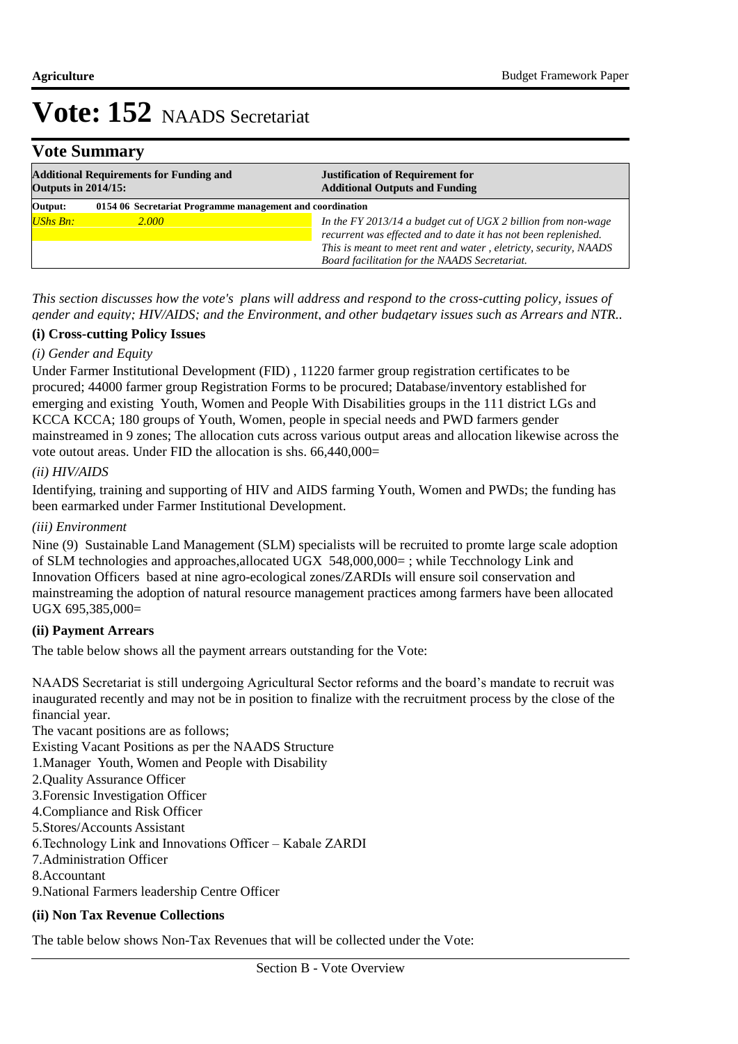### **Vote Summary**

| <b>Additional Requirements for Funding and</b><br><b>Outputs in 2014/15:</b> |                                                           | <b>Justification of Requirement for</b><br><b>Additional Outputs and Funding</b>                                                 |
|------------------------------------------------------------------------------|-----------------------------------------------------------|----------------------------------------------------------------------------------------------------------------------------------|
| Output:                                                                      | 0154 06 Secretariat Programme management and coordination |                                                                                                                                  |
| <b>UShs Bn:</b>                                                              | 2.000                                                     | In the FY 2013/14 a budget cut of UGX 2 billion from non-wage<br>recurrent was effected and to date it has not been replenished. |
|                                                                              |                                                           | This is meant to meet rent and water, eletricty, security, NAADS<br>Board facilitation for the NAADS Secretariat.                |

*This section discusses how the vote's plans will address and respond to the cross-cutting policy, issues of gender and equity; HIV/AIDS; and the Environment, and other budgetary issues such as Arrears and NTR..* 

#### **(i) Cross-cutting Policy Issues**

#### *(i) Gender and Equity*

Under Farmer Institutional Development (FID) , 11220 farmer group registration certificates to be procured; 44000 farmer group Registration Forms to be procured; Database/inventory established for emerging and existing Youth, Women and People With Disabilities groups in the 111 district LGs and KCCA KCCA; 180 groups of Youth, Women, people in special needs and PWD farmers gender mainstreamed in 9 zones; The allocation cuts across various output areas and allocation likewise across the vote outout areas. Under FID the allocation is shs. 66,440,000=

#### *(ii) HIV/AIDS*

Identifying, training and supporting of HIV and AIDS farming Youth, Women and PWDs; the funding has been earmarked under Farmer Institutional Development.

#### *(iii) Environment*

Nine (9) Sustainable Land Management (SLM) specialists will be recruited to promte large scale adoption of SLM technologies and approaches,allocated UGX 548,000,000= ; while Tecchnology Link and Innovation Officers based at nine agro-ecological zones/ZARDIs will ensure soil conservation and mainstreaming the adoption of natural resource management practices among farmers have been allocated UGX 695,385,000=

#### **(ii) Payment Arrears**

The table below shows all the payment arrears outstanding for the Vote:

NAADS Secretariat is still undergoing Agricultural Sector reforms and the board's mandate to recruit was inaugurated recently and may not be in position to finalize with the recruitment process by the close of the financial year.

The vacant positions are as follows;

Existing Vacant Positions as per the NAADS Structure

1. Manager Youth, Women and People with Disability

2. Quality Assurance Officer

3. Forensic Investigation Officer

4. Compliance and Risk Officer

5. Stores/Accounts Assistant 

6. Technology Link and Innovations Officer – Kabale ZARDI

7. Administration Officer

8. Accountant

9. National Farmers leadership Centre Officer

#### **(ii) Non Tax Revenue Collections**

The table below shows Non-Tax Revenues that will be collected under the Vote: